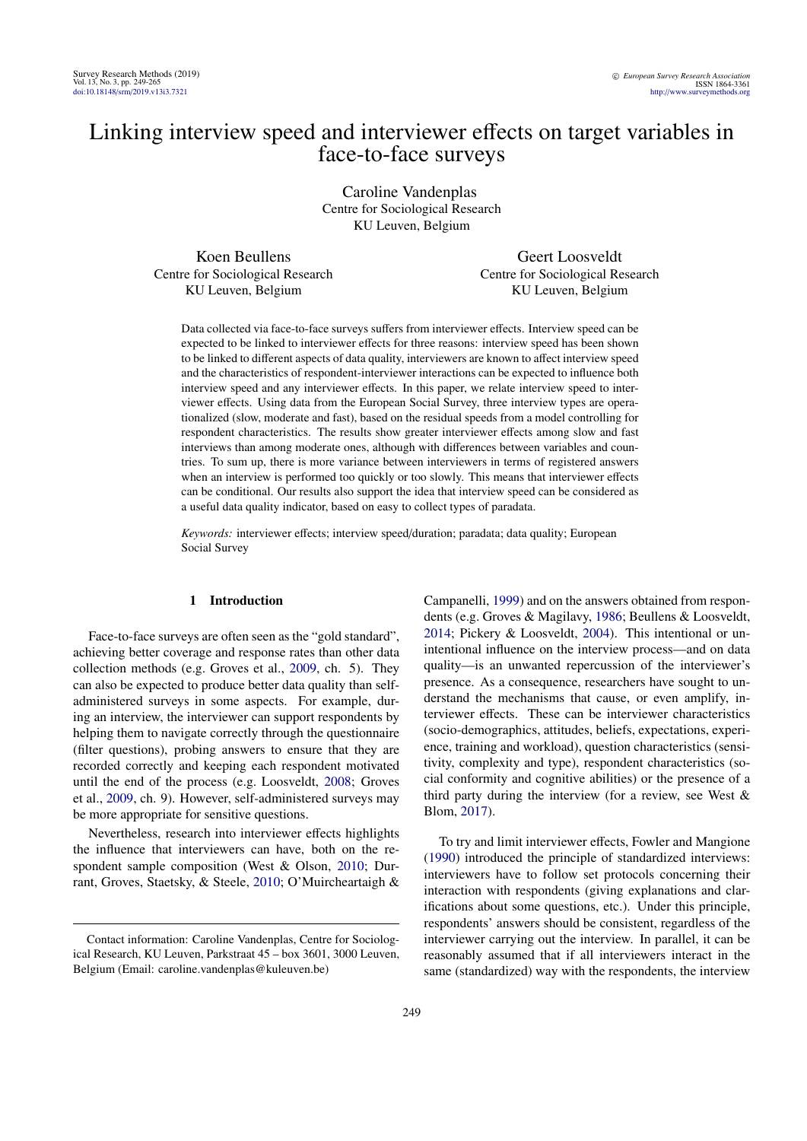# Linking interview speed and interviewer effects on target variables in face-to-face surveys

Caroline Vandenplas Centre for Sociological Research KU Leuven, Belgium

Koen Beullens Centre for Sociological Research KU Leuven, Belgium

Geert Loosveldt Centre for Sociological Research KU Leuven, Belgium

Data collected via face-to-face surveys suffers from interviewer effects. Interview speed can be expected to be linked to interviewer effects for three reasons: interview speed has been shown to be linked to different aspects of data quality, interviewers are known to affect interview speed and the characteristics of respondent-interviewer interactions can be expected to influence both interview speed and any interviewer effects. In this paper, we relate interview speed to interviewer effects. Using data from the European Social Survey, three interview types are operationalized (slow, moderate and fast), based on the residual speeds from a model controlling for respondent characteristics. The results show greater interviewer effects among slow and fast interviews than among moderate ones, although with differences between variables and countries. To sum up, there is more variance between interviewers in terms of registered answers when an interview is performed too quickly or too slowly. This means that interviewer effects can be conditional. Our results also support the idea that interview speed can be considered as a useful data quality indicator, based on easy to collect types of paradata.

*Keywords:* interviewer effects; interview speed/duration; paradata; data quality; European Social Survey

## 1 Introduction

Face-to-face surveys are often seen as the "gold standard", achieving better coverage and response rates than other data collection methods (e.g. Groves et al., [2009,](#page-9-0) ch. 5). They can also be expected to produce better data quality than selfadministered surveys in some aspects. For example, during an interview, the interviewer can support respondents by helping them to navigate correctly through the questionnaire (filter questions), probing answers to ensure that they are recorded correctly and keeping each respondent motivated until the end of the process (e.g. Loosveldt, [2008;](#page-10-0) Groves et al., [2009,](#page-9-0) ch. 9). However, self-administered surveys may be more appropriate for sensitive questions.

Nevertheless, research into interviewer effects highlights the influence that interviewers can have, both on the respondent sample composition (West & Olson, [2010;](#page-11-0) Durrant, Groves, Staetsky, & Steele, [2010;](#page-9-1) O'Muircheartaigh & Campanelli, [1999\)](#page-10-1) and on the answers obtained from respondents (e.g. Groves & Magilavy, [1986;](#page-9-2) Beullens & Loosveldt, [2014;](#page-9-3) Pickery & Loosveldt, [2004\)](#page-10-2). This intentional or unintentional influence on the interview process—and on data quality—is an unwanted repercussion of the interviewer's presence. As a consequence, researchers have sought to understand the mechanisms that cause, or even amplify, interviewer effects. These can be interviewer characteristics (socio-demographics, attitudes, beliefs, expectations, experience, training and workload), question characteristics (sensitivity, complexity and type), respondent characteristics (social conformity and cognitive abilities) or the presence of a third party during the interview (for a review, see West & Blom, [2017\)](#page-11-1).

To try and limit interviewer effects, Fowler and Mangione [\(1990\)](#page-9-4) introduced the principle of standardized interviews: interviewers have to follow set protocols concerning their interaction with respondents (giving explanations and clarifications about some questions, etc.). Under this principle, respondents' answers should be consistent, regardless of the interviewer carrying out the interview. In parallel, it can be reasonably assumed that if all interviewers interact in the same (standardized) way with the respondents, the interview

Contact information: Caroline Vandenplas, Centre for Sociological Research, KU Leuven, Parkstraat 45 – box 3601, 3000 Leuven, Belgium (Email: caroline.vandenplas@kuleuven.be)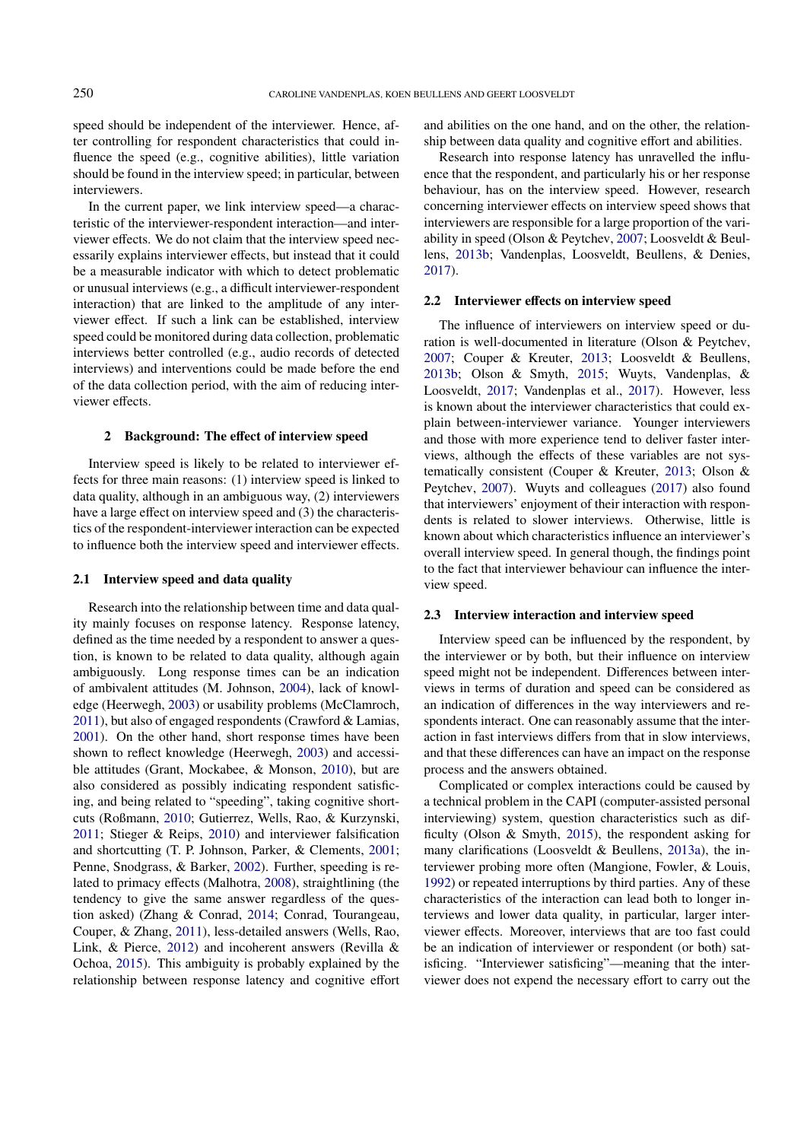speed should be independent of the interviewer. Hence, after controlling for respondent characteristics that could influence the speed (e.g., cognitive abilities), little variation should be found in the interview speed; in particular, between interviewers.

In the current paper, we link interview speed—a characteristic of the interviewer-respondent interaction—and interviewer effects. We do not claim that the interview speed necessarily explains interviewer effects, but instead that it could be a measurable indicator with which to detect problematic or unusual interviews (e.g., a difficult interviewer-respondent interaction) that are linked to the amplitude of any interviewer effect. If such a link can be established, interview speed could be monitored during data collection, problematic interviews better controlled (e.g., audio records of detected interviews) and interventions could be made before the end of the data collection period, with the aim of reducing interviewer effects.

## 2 Background: The effect of interview speed

Interview speed is likely to be related to interviewer effects for three main reasons: (1) interview speed is linked to data quality, although in an ambiguous way, (2) interviewers have a large effect on interview speed and (3) the characteristics of the respondent-interviewer interaction can be expected to influence both the interview speed and interviewer effects.

#### 2.1 Interview speed and data quality

Research into the relationship between time and data quality mainly focuses on response latency. Response latency, defined as the time needed by a respondent to answer a question, is known to be related to data quality, although again ambiguously. Long response times can be an indication of ambivalent attitudes (M. Johnson, [2004\)](#page-10-3), lack of knowledge (Heerwegh, [2003\)](#page-9-5) or usability problems (McClamroch, [2011\)](#page-10-4), but also of engaged respondents (Crawford & Lamias, [2001\)](#page-9-6). On the other hand, short response times have been shown to reflect knowledge (Heerwegh, [2003\)](#page-9-5) and accessible attitudes (Grant, Mockabee, & Monson, [2010\)](#page-9-7), but are also considered as possibly indicating respondent satisficing, and being related to "speeding", taking cognitive shortcuts (Roßmann, [2010;](#page-10-5) Gutierrez, Wells, Rao, & Kurzynski, [2011;](#page-9-8) Stieger & Reips, [2010\)](#page-10-6) and interviewer falsification and shortcutting (T. P. Johnson, Parker, & Clements, [2001;](#page-10-7) Penne, Snodgrass, & Barker, [2002\)](#page-10-8). Further, speeding is related to primacy effects (Malhotra, [2008\)](#page-10-9), straightlining (the tendency to give the same answer regardless of the question asked) (Zhang & Conrad, [2014;](#page-11-2) Conrad, Tourangeau, Couper, & Zhang, [2011\)](#page-9-9), less-detailed answers (Wells, Rao, Link, & Pierce, [2012\)](#page-10-10) and incoherent answers (Revilla & Ochoa, [2015\)](#page-10-11). This ambiguity is probably explained by the relationship between response latency and cognitive effort

and abilities on the one hand, and on the other, the relationship between data quality and cognitive effort and abilities.

Research into response latency has unravelled the influence that the respondent, and particularly his or her response behaviour, has on the interview speed. However, research concerning interviewer effects on interview speed shows that interviewers are responsible for a large proportion of the variability in speed (Olson & Peytchev, [2007;](#page-10-12) Loosveldt & Beullens, [2013b;](#page-10-13) Vandenplas, Loosveldt, Beullens, & Denies, [2017\)](#page-10-14).

## 2.2 Interviewer effects on interview speed

The influence of interviewers on interview speed or duration is well-documented in literature (Olson & Peytchev, [2007;](#page-10-12) Couper & Kreuter, [2013;](#page-9-10) Loosveldt & Beullens, [2013b;](#page-10-13) Olson & Smyth, [2015;](#page-10-15) Wuyts, Vandenplas, & Loosveldt, [2017;](#page-11-3) Vandenplas et al., [2017\)](#page-10-14). However, less is known about the interviewer characteristics that could explain between-interviewer variance. Younger interviewers and those with more experience tend to deliver faster interviews, although the effects of these variables are not systematically consistent (Couper & Kreuter, [2013;](#page-9-10) Olson & Peytchev, [2007\)](#page-10-12). Wuyts and colleagues [\(2017\)](#page-11-3) also found that interviewers' enjoyment of their interaction with respondents is related to slower interviews. Otherwise, little is known about which characteristics influence an interviewer's overall interview speed. In general though, the findings point to the fact that interviewer behaviour can influence the interview speed.

#### 2.3 Interview interaction and interview speed

Interview speed can be influenced by the respondent, by the interviewer or by both, but their influence on interview speed might not be independent. Differences between interviews in terms of duration and speed can be considered as an indication of differences in the way interviewers and respondents interact. One can reasonably assume that the interaction in fast interviews differs from that in slow interviews, and that these differences can have an impact on the response process and the answers obtained.

Complicated or complex interactions could be caused by a technical problem in the CAPI (computer-assisted personal interviewing) system, question characteristics such as difficulty (Olson & Smyth, [2015\)](#page-10-15), the respondent asking for many clarifications (Loosveldt & Beullens, [2013a\)](#page-10-16), the interviewer probing more often (Mangione, Fowler, & Louis, [1992\)](#page-10-17) or repeated interruptions by third parties. Any of these characteristics of the interaction can lead both to longer interviews and lower data quality, in particular, larger interviewer effects. Moreover, interviews that are too fast could be an indication of interviewer or respondent (or both) satisficing. "Interviewer satisficing"—meaning that the interviewer does not expend the necessary effort to carry out the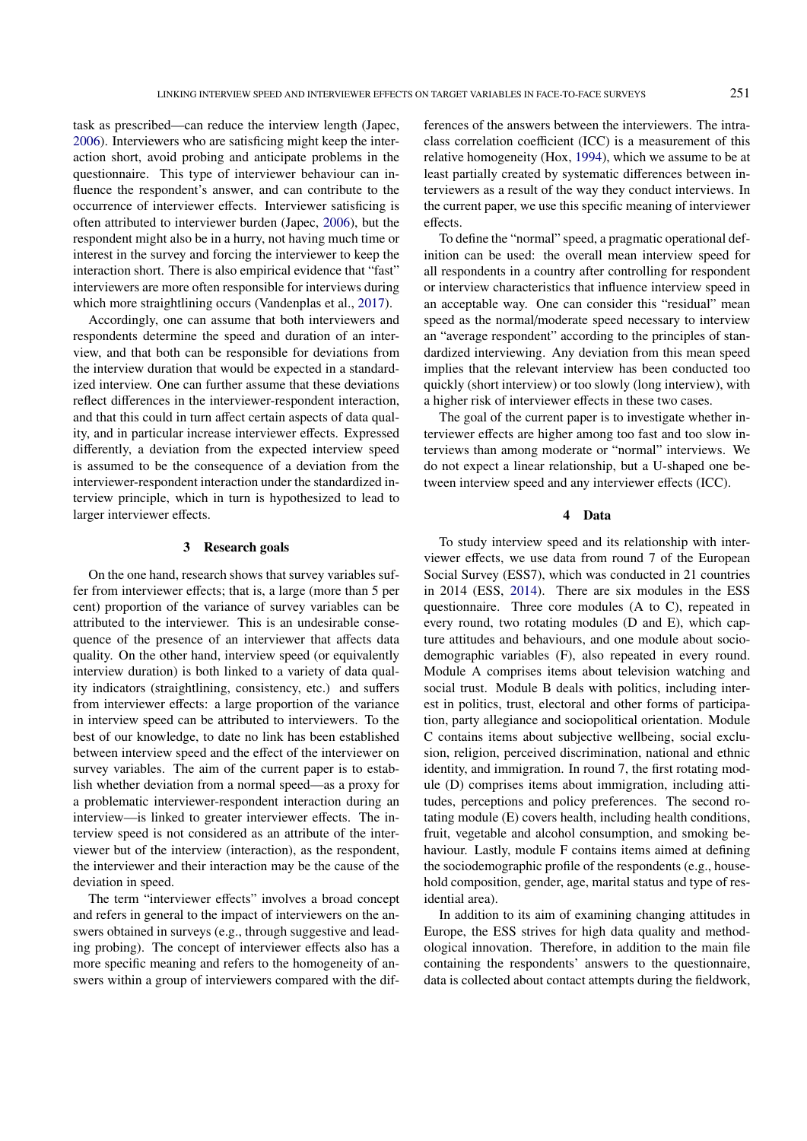task as prescribed—can reduce the interview length (Japec, [2006\)](#page-10-18). Interviewers who are satisficing might keep the interaction short, avoid probing and anticipate problems in the questionnaire. This type of interviewer behaviour can influence the respondent's answer, and can contribute to the occurrence of interviewer effects. Interviewer satisficing is often attributed to interviewer burden (Japec, [2006\)](#page-10-18), but the respondent might also be in a hurry, not having much time or interest in the survey and forcing the interviewer to keep the interaction short. There is also empirical evidence that "fast" interviewers are more often responsible for interviews during which more straightlining occurs (Vandenplas et al., [2017\)](#page-10-14).

Accordingly, one can assume that both interviewers and respondents determine the speed and duration of an interview, and that both can be responsible for deviations from the interview duration that would be expected in a standardized interview. One can further assume that these deviations reflect differences in the interviewer-respondent interaction, and that this could in turn affect certain aspects of data quality, and in particular increase interviewer effects. Expressed differently, a deviation from the expected interview speed is assumed to be the consequence of a deviation from the interviewer-respondent interaction under the standardized interview principle, which in turn is hypothesized to lead to larger interviewer effects.

### 3 Research goals

On the one hand, research shows that survey variables suffer from interviewer effects; that is, a large (more than 5 per cent) proportion of the variance of survey variables can be attributed to the interviewer. This is an undesirable consequence of the presence of an interviewer that affects data quality. On the other hand, interview speed (or equivalently interview duration) is both linked to a variety of data quality indicators (straightlining, consistency, etc.) and suffers from interviewer effects: a large proportion of the variance in interview speed can be attributed to interviewers. To the best of our knowledge, to date no link has been established between interview speed and the effect of the interviewer on survey variables. The aim of the current paper is to establish whether deviation from a normal speed—as a proxy for a problematic interviewer-respondent interaction during an interview—is linked to greater interviewer effects. The interview speed is not considered as an attribute of the interviewer but of the interview (interaction), as the respondent, the interviewer and their interaction may be the cause of the deviation in speed.

The term "interviewer effects" involves a broad concept and refers in general to the impact of interviewers on the answers obtained in surveys (e.g., through suggestive and leading probing). The concept of interviewer effects also has a more specific meaning and refers to the homogeneity of answers within a group of interviewers compared with the dif-

ferences of the answers between the interviewers. The intraclass correlation coefficient (ICC) is a measurement of this relative homogeneity (Hox, [1994\)](#page-10-19), which we assume to be at least partially created by systematic differences between interviewers as a result of the way they conduct interviews. In the current paper, we use this specific meaning of interviewer effects.

To define the "normal" speed, a pragmatic operational definition can be used: the overall mean interview speed for all respondents in a country after controlling for respondent or interview characteristics that influence interview speed in an acceptable way. One can consider this "residual" mean speed as the normal/moderate speed necessary to interview an "average respondent" according to the principles of standardized interviewing. Any deviation from this mean speed implies that the relevant interview has been conducted too quickly (short interview) or too slowly (long interview), with a higher risk of interviewer effects in these two cases.

The goal of the current paper is to investigate whether interviewer effects are higher among too fast and too slow interviews than among moderate or "normal" interviews. We do not expect a linear relationship, but a U-shaped one between interview speed and any interviewer effects (ICC).

### 4 Data

To study interview speed and its relationship with interviewer effects, we use data from round 7 of the European Social Survey (ESS7), which was conducted in 21 countries in 2014 (ESS, [2014\)](#page-9-11). There are six modules in the ESS questionnaire. Three core modules (A to C), repeated in every round, two rotating modules (D and E), which capture attitudes and behaviours, and one module about sociodemographic variables (F), also repeated in every round. Module A comprises items about television watching and social trust. Module B deals with politics, including interest in politics, trust, electoral and other forms of participation, party allegiance and sociopolitical orientation. Module C contains items about subjective wellbeing, social exclusion, religion, perceived discrimination, national and ethnic identity, and immigration. In round 7, the first rotating module (D) comprises items about immigration, including attitudes, perceptions and policy preferences. The second rotating module (E) covers health, including health conditions, fruit, vegetable and alcohol consumption, and smoking behaviour. Lastly, module F contains items aimed at defining the sociodemographic profile of the respondents (e.g., household composition, gender, age, marital status and type of residential area).

In addition to its aim of examining changing attitudes in Europe, the ESS strives for high data quality and methodological innovation. Therefore, in addition to the main file containing the respondents' answers to the questionnaire, data is collected about contact attempts during the fieldwork,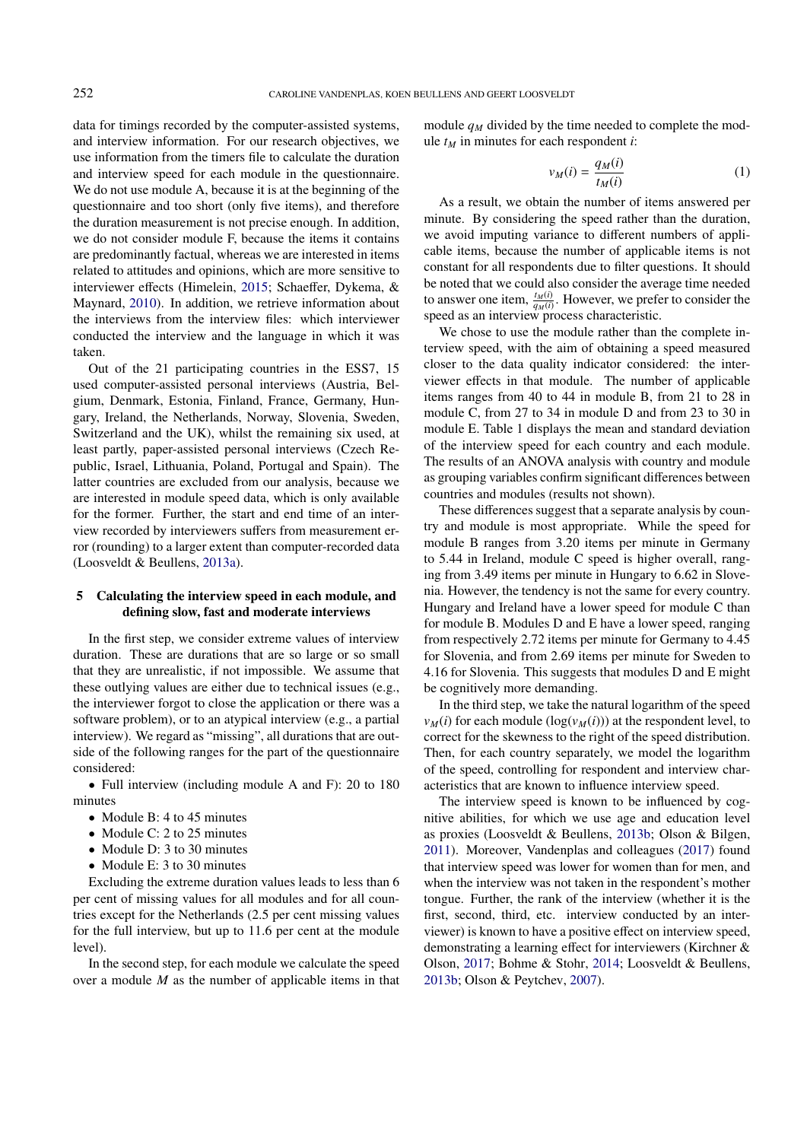data for timings recorded by the computer-assisted systems, and interview information. For our research objectives, we use information from the timers file to calculate the duration and interview speed for each module in the questionnaire. We do not use module A, because it is at the beginning of the questionnaire and too short (only five items), and therefore the duration measurement is not precise enough. In addition, we do not consider module F, because the items it contains are predominantly factual, whereas we are interested in items related to attitudes and opinions, which are more sensitive to interviewer effects (Himelein, [2015;](#page-9-12) Schaeffer, Dykema, & Maynard, [2010\)](#page-10-20). In addition, we retrieve information about the interviews from the interview files: which interviewer conducted the interview and the language in which it was taken.

Out of the 21 participating countries in the ESS7, 15 used computer-assisted personal interviews (Austria, Belgium, Denmark, Estonia, Finland, France, Germany, Hungary, Ireland, the Netherlands, Norway, Slovenia, Sweden, Switzerland and the UK), whilst the remaining six used, at least partly, paper-assisted personal interviews (Czech Republic, Israel, Lithuania, Poland, Portugal and Spain). The latter countries are excluded from our analysis, because we are interested in module speed data, which is only available for the former. Further, the start and end time of an interview recorded by interviewers suffers from measurement error (rounding) to a larger extent than computer-recorded data (Loosveldt & Beullens, [2013a\)](#page-10-16).

## 5 Calculating the interview speed in each module, and defining slow, fast and moderate interviews

In the first step, we consider extreme values of interview duration. These are durations that are so large or so small that they are unrealistic, if not impossible. We assume that these outlying values are either due to technical issues (e.g., the interviewer forgot to close the application or there was a software problem), or to an atypical interview (e.g., a partial interview). We regard as "missing", all durations that are outside of the following ranges for the part of the questionnaire considered:

• Full interview (including module A and F): 20 to 180 minutes

- Module B: 4 to 45 minutes
- Module C: 2 to 25 minutes
- Module D: 3 to 30 minutes
- Module E: 3 to 30 minutes

Excluding the extreme duration values leads to less than 6 per cent of missing values for all modules and for all countries except for the Netherlands (2.5 per cent missing values for the full interview, but up to 11.6 per cent at the module level).

In the second step, for each module we calculate the speed over a module *M* as the number of applicable items in that module  $q_M$  divided by the time needed to complete the module  $t_M$  in minutes for each respondent *i*:

$$
v_M(i) = \frac{q_M(i)}{t_M(i)}\tag{1}
$$

As a result, we obtain the number of items answered per minute. By considering the speed rather than the duration, we avoid imputing variance to different numbers of applicable items, because the number of applicable items is not constant for all respondents due to filter questions. It should be noted that we could also consider the average time needed to answer one item,  $\frac{t_M(i)}{q_M(i)}$ . However, we prefer to consider the speed as an interview process characteristic.

We chose to use the module rather than the complete interview speed, with the aim of obtaining a speed measured closer to the data quality indicator considered: the interviewer effects in that module. The number of applicable items ranges from 40 to 44 in module B, from 21 to 28 in module C, from 27 to 34 in module D and from 23 to 30 in module E. Table [1](#page-4-0) displays the mean and standard deviation of the interview speed for each country and each module. The results of an ANOVA analysis with country and module as grouping variables confirm significant differences between countries and modules (results not shown).

These differences suggest that a separate analysis by country and module is most appropriate. While the speed for module B ranges from 3.20 items per minute in Germany to 5.44 in Ireland, module C speed is higher overall, ranging from 3.49 items per minute in Hungary to 6.62 in Slovenia. However, the tendency is not the same for every country. Hungary and Ireland have a lower speed for module C than for module B. Modules D and E have a lower speed, ranging from respectively 2.72 items per minute for Germany to 4.45 for Slovenia, and from 2.69 items per minute for Sweden to 4.16 for Slovenia. This suggests that modules D and E might be cognitively more demanding.

In the third step, we take the natural logarithm of the speed  $v_M(i)$  for each module  $(\log(v_M(i)))$  at the respondent level, to correct for the skewness to the right of the speed distribution. Then, for each country separately, we model the logarithm of the speed, controlling for respondent and interview characteristics that are known to influence interview speed.

The interview speed is known to be influenced by cognitive abilities, for which we use age and education level as proxies (Loosveldt & Beullens, [2013b;](#page-10-13) Olson & Bilgen, [2011\)](#page-10-21). Moreover, Vandenplas and colleagues [\(2017\)](#page-10-14) found that interview speed was lower for women than for men, and when the interview was not taken in the respondent's mother tongue. Further, the rank of the interview (whether it is the first, second, third, etc. interview conducted by an interviewer) is known to have a positive effect on interview speed, demonstrating a learning effect for interviewers (Kirchner & Olson, [2017;](#page-10-22) Bohme & Stohr, [2014;](#page-9-13) Loosveldt & Beullens, [2013b;](#page-10-13) Olson & Peytchev, [2007\)](#page-10-12).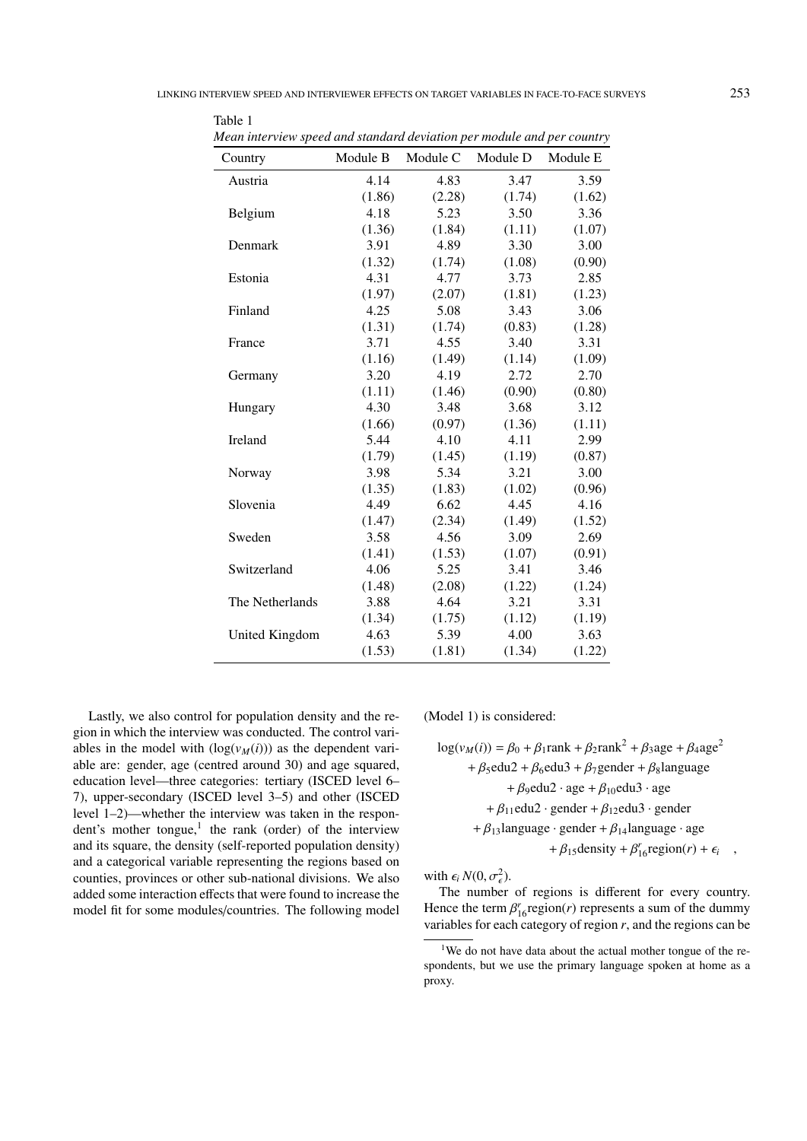| Mean interview speed and standard deviation per module and per country |          |          |          |          |
|------------------------------------------------------------------------|----------|----------|----------|----------|
| Country                                                                | Module B | Module C | Module D | Module E |
| Austria                                                                | 4.14     | 4.83     | 3.47     | 3.59     |
|                                                                        | (1.86)   | (2.28)   | (1.74)   | (1.62)   |
| Belgium                                                                | 4.18     | 5.23     | 3.50     | 3.36     |
|                                                                        | (1.36)   | (1.84)   | (1.11)   | (1.07)   |
| Denmark                                                                | 3.91     | 4.89     | 3.30     | 3.00     |
|                                                                        | (1.32)   | (1.74)   | (1.08)   | (0.90)   |
| Estonia                                                                | 4.31     | 4.77     | 3.73     | 2.85     |
|                                                                        | (1.97)   | (2.07)   | (1.81)   | (1.23)   |
| Finland                                                                | 4.25     | 5.08     | 3.43     | 3.06     |
|                                                                        | (1.31)   | (1.74)   | (0.83)   | (1.28)   |
| France                                                                 | 3.71     | 4.55     | 3.40     | 3.31     |
|                                                                        | (1.16)   | (1.49)   | (1.14)   | (1.09)   |
| Germany                                                                | 3.20     | 4.19     | 2.72     | 2.70     |
|                                                                        | (1.11)   | (1.46)   | (0.90)   | (0.80)   |
| Hungary                                                                | 4.30     | 3.48     | 3.68     | 3.12     |
|                                                                        | (1.66)   | (0.97)   | (1.36)   | (1.11)   |
| Ireland                                                                | 5.44     | 4.10     | 4.11     | 2.99     |
|                                                                        | (1.79)   | (1.45)   | (1.19)   | (0.87)   |
| Norway                                                                 | 3.98     | 5.34     | 3.21     | 3.00     |
|                                                                        | (1.35)   | (1.83)   | (1.02)   | (0.96)   |
| Slovenia                                                               | 4.49     | 6.62     | 4.45     | 4.16     |
|                                                                        | (1.47)   | (2.34)   | (1.49)   | (1.52)   |
| Sweden                                                                 | 3.58     | 4.56     | 3.09     | 2.69     |
|                                                                        | (1.41)   | (1.53)   | (1.07)   | (0.91)   |
| Switzerland                                                            | 4.06     | 5.25     | 3.41     | 3.46     |
|                                                                        | (1.48)   | (2.08)   | (1.22)   | (1.24)   |
| The Netherlands                                                        | 3.88     | 4.64     | 3.21     | 3.31     |
|                                                                        | (1.34)   | (1.75)   | (1.12)   | (1.19)   |
| United Kingdom                                                         | 4.63     | 5.39     | 4.00     | 3.63     |
|                                                                        | (1.53)   | (1.81)   | (1.34)   | (1.22)   |
|                                                                        |          |          |          |          |

<span id="page-4-0"></span>Table  $1$ 

Lastly, we also control for population density and the region in which the interview was conducted. The control variables in the model with  $(\log(v_M(i)))$  as the dependent variable are: gender, age (centred around 30) and age squared, education level—three categories: tertiary (ISCED level 6– 7), upper-secondary (ISCED level 3–5) and other (ISCED level 1–2)—whether the interview was taken in the respon-dent's mother tongue,<sup>[1](#page-4-1)</sup> the rank (order) of the interview and its square, the density (self-reported population density) and a categorical variable representing the regions based on counties, provinces or other sub-national divisions. We also added some interaction effects that were found to increase the model fit for some modules/countries. The following model

(Model 1) is considered:

 $\log(v_M(i)) = \beta_0 + \beta_1 \text{rank} + \beta_2 \text{rank}^2 + \beta_3 \text{age} + \beta_4 \text{age}^2$  $+ \beta_5$ edu2 +  $\beta_6$ edu3 +  $\beta_7$ gender +  $\beta_8$ language +  $\beta_9$ edu2 · age +  $\beta_{10}$ edu3 · age +  $\beta_{11}$ edu2 · gender +  $\beta_{12}$ edu3 · gender +  $\beta_{13}$ language · gender +  $\beta_{14}$ language · age +  $\beta_{15}$ density +  $\beta_{16}'$ region(*r*) +  $\epsilon_i$ ,

with  $\epsilon_i N(0, \sigma_{\epsilon}^2)$ .<br>The number

 The number of regions is different for every country. Hence the term  $\beta_{16}^r$  region(*r*) represents a sum of the dummy variables for each category of region *r* and the regions can be variables for each category of region *r*, and the regions can be

<span id="page-4-1"></span><sup>&</sup>lt;sup>1</sup>We do not have data about the actual mother tongue of the respondents, but we use the primary language spoken at home as a proxy.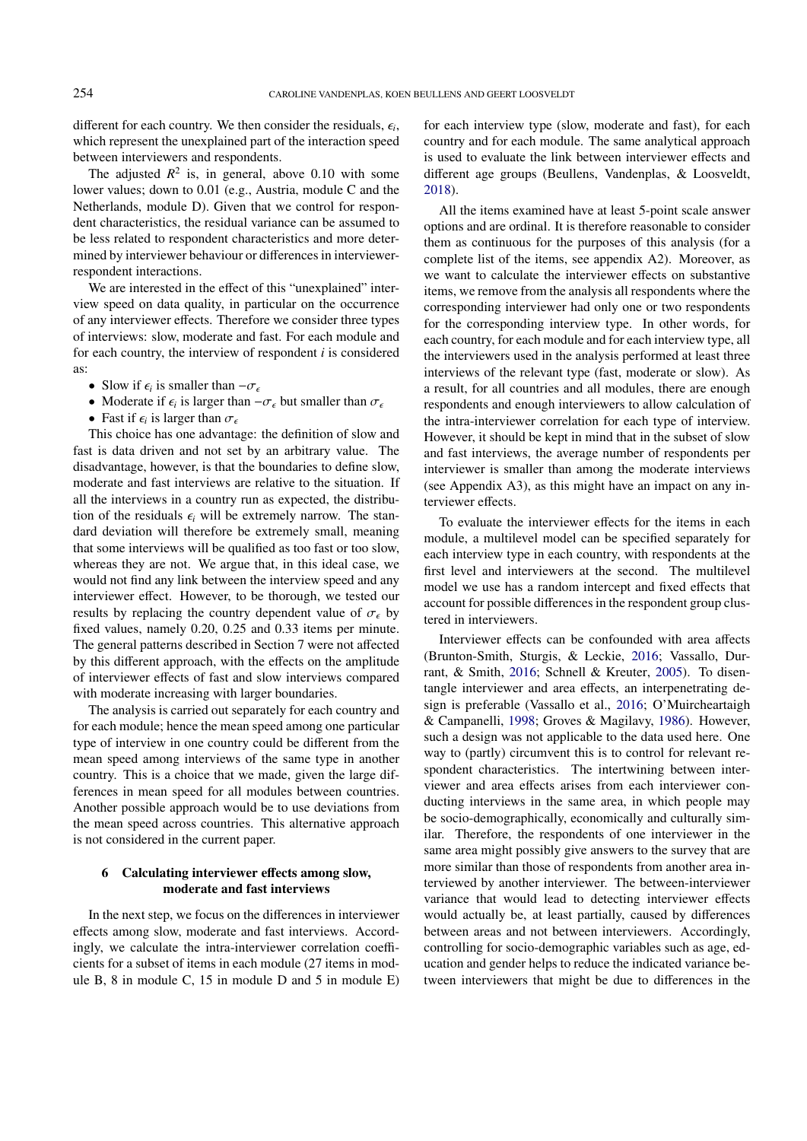different for each country. We then consider the residuals,  $\epsilon_i$ , which represent the unexplained part of the interaction speed which represent the unexplained part of the interaction speed between interviewers and respondents.

The adjusted  $R^2$  is, in general, above 0.10 with some lower values; down to 0.01 (e.g., Austria, module C and the Netherlands, module D). Given that we control for respondent characteristics, the residual variance can be assumed to be less related to respondent characteristics and more determined by interviewer behaviour or differences in interviewerrespondent interactions.

We are interested in the effect of this "unexplained" interview speed on data quality, in particular on the occurrence of any interviewer effects. Therefore we consider three types of interviews: slow, moderate and fast. For each module and for each country, the interview of respondent *i* is considered as:

- Slow if  $\epsilon_i$  is smaller than  $-\sigma_{\epsilon}$ <br>• Moderate if  $\epsilon_i$  is larger than
- Moderate if  $\epsilon_i$  is larger than  $-\sigma_{\epsilon}$  but smaller than  $\sigma_{\epsilon}$ <br>• Fast if  $\epsilon_i$  is larger than  $\sigma$
- Fast if  $\epsilon_i$  is larger than  $\sigma_{\epsilon}$ <br>This choice has one advants

This choice has one advantage: the definition of slow and fast is data driven and not set by an arbitrary value. The disadvantage, however, is that the boundaries to define slow, moderate and fast interviews are relative to the situation. If all the interviews in a country run as expected, the distribution of the residuals  $\epsilon_i$  will be extremely narrow. The standard deviation will therefore be extremely small, meaning that some interviews will be qualified as too fast or too slow, whereas they are not. We argue that, in this ideal case, we would not find any link between the interview speed and any interviewer effect. However, to be thorough, we tested our results by replacing the country dependent value of  $\sigma_{\epsilon}$  by fixed values, namely 0.20, 0.25 and 0.33 items per minute. The general patterns described in Section 7 were not affected by this different approach, with the effects on the amplitude of interviewer effects of fast and slow interviews compared with moderate increasing with larger boundaries.

The analysis is carried out separately for each country and for each module; hence the mean speed among one particular type of interview in one country could be different from the mean speed among interviews of the same type in another country. This is a choice that we made, given the large differences in mean speed for all modules between countries. Another possible approach would be to use deviations from the mean speed across countries. This alternative approach is not considered in the current paper.

## 6 Calculating interviewer effects among slow, moderate and fast interviews

In the next step, we focus on the differences in interviewer effects among slow, moderate and fast interviews. Accordingly, we calculate the intra-interviewer correlation coefficients for a subset of items in each module (27 items in module B, 8 in module C, 15 in module D and 5 in module E)

for each interview type (slow, moderate and fast), for each country and for each module. The same analytical approach is used to evaluate the link between interviewer effects and different age groups (Beullens, Vandenplas, & Loosveldt, [2018\)](#page-9-14).

All the items examined have at least 5-point scale answer options and are ordinal. It is therefore reasonable to consider them as continuous for the purposes of this analysis (for a complete list of the items, see appendix A2). Moreover, as we want to calculate the interviewer effects on substantive items, we remove from the analysis all respondents where the corresponding interviewer had only one or two respondents for the corresponding interview type. In other words, for each country, for each module and for each interview type, all the interviewers used in the analysis performed at least three interviews of the relevant type (fast, moderate or slow). As a result, for all countries and all modules, there are enough respondents and enough interviewers to allow calculation of the intra-interviewer correlation for each type of interview. However, it should be kept in mind that in the subset of slow and fast interviews, the average number of respondents per interviewer is smaller than among the moderate interviews (see Appendix A3), as this might have an impact on any interviewer effects.

To evaluate the interviewer effects for the items in each module, a multilevel model can be specified separately for each interview type in each country, with respondents at the first level and interviewers at the second. The multilevel model we use has a random intercept and fixed effects that account for possible differences in the respondent group clustered in interviewers.

Interviewer effects can be confounded with area affects (Brunton-Smith, Sturgis, & Leckie, [2016;](#page-9-15) Vassallo, Durrant, & Smith, [2016;](#page-10-23) Schnell & Kreuter, [2005\)](#page-10-24). To disentangle interviewer and area effects, an interpenetrating design is preferable (Vassallo et al., [2016;](#page-10-23) O'Muircheartaigh & Campanelli, [1998;](#page-10-25) Groves & Magilavy, [1986\)](#page-9-2). However, such a design was not applicable to the data used here. One way to (partly) circumvent this is to control for relevant respondent characteristics. The intertwining between interviewer and area effects arises from each interviewer conducting interviews in the same area, in which people may be socio-demographically, economically and culturally similar. Therefore, the respondents of one interviewer in the same area might possibly give answers to the survey that are more similar than those of respondents from another area interviewed by another interviewer. The between-interviewer variance that would lead to detecting interviewer effects would actually be, at least partially, caused by differences between areas and not between interviewers. Accordingly, controlling for socio-demographic variables such as age, education and gender helps to reduce the indicated variance between interviewers that might be due to differences in the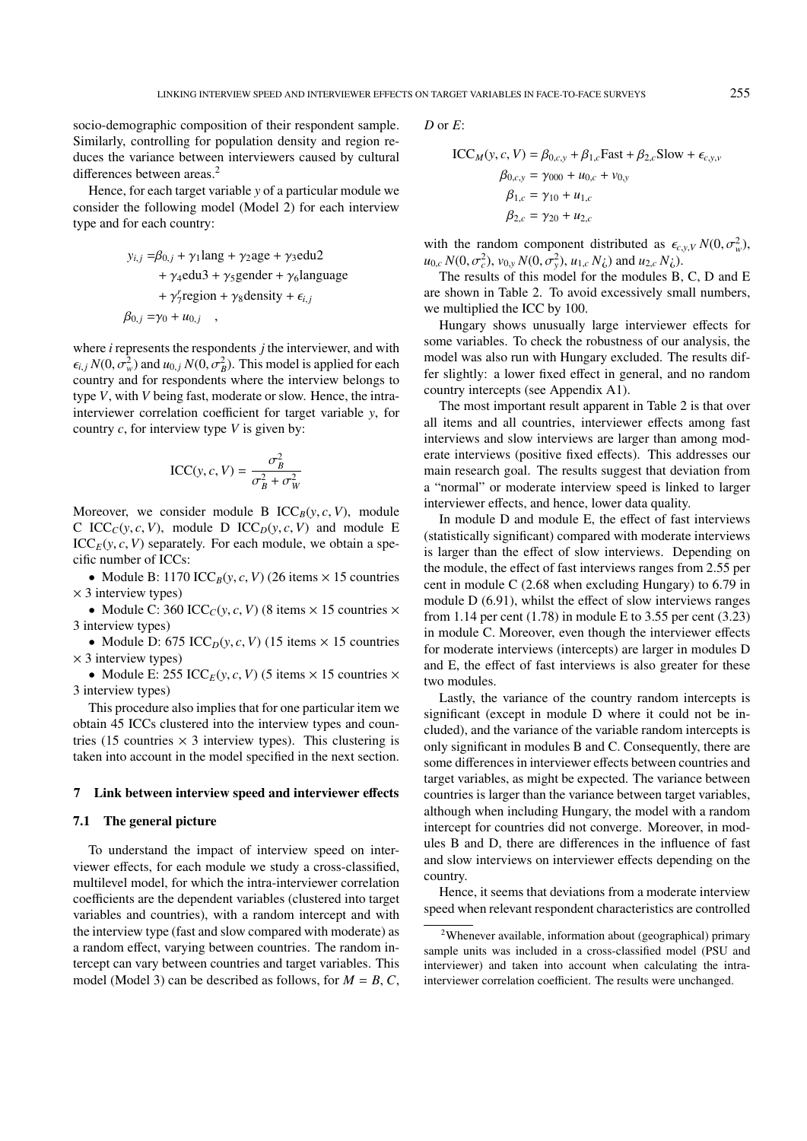socio-demographic composition of their respondent sample. Similarly, controlling for population density and region reduces the variance between interviewers caused by cultural differences between areas.<sup>[2](#page-6-0)</sup>

Hence, for each target variable *y* of a particular module we consider the following model (Model 2) for each interview type and for each country:

$$
y_{i,j} = \beta_{0,j} + \gamma_1 \text{lang} + \gamma_2 \text{age} + \gamma_3 \text{edu2}
$$
  
+  $\gamma_4 \text{edu3} + \gamma_5 \text{gender} + \gamma_6 \text{language}$   
+  $\gamma_7^r \text{region} + \gamma_8 \text{density} + \epsilon_{i,j}$   

$$
\beta_{0,j} = \gamma_0 + u_{0,j} ,
$$

where *i* represents the respondents *j* the interviewer, and with  $\epsilon_{i,j} N(0, \sigma_w^2)$  and  $u_{0,j} N(0, \sigma_B^2)$ . This model is applied for each country and for respondents where the interview belongs to country and for respondents where the interview belongs to type *V*, with *V* being fast, moderate or slow. Hence, the intrainterviewer correlation coefficient for target variable *y*, for country *c*, for interview type *V* is given by:

$$
ICC(y, c, V) = \frac{\sigma_B^2}{\sigma_B^2 + \sigma_W^2}
$$

Moreover, we consider module B  $\text{ICC}_B(y, c, V)$ , module C ICC<sub>C</sub>(*y*, *c*, *V*), module D ICC<sub>D</sub>(*y*, *c*, *V*) and module E  $\text{ICC}_{E}(y, c, V)$  separately. For each module, we obtain a specific number of ICCs:

• Module B: 1170 ICC<sub>B</sub> $(y, c, V)$  (26 items  $\times$  15 countries  $\times$  3 interview types)

• Module C: 360 ICC<sub>C</sub>(*y*, *c*, *V*) (8 items  $\times$  15 countries  $\times$ 3 interview types)

• Module D: 675 ICC<sub>D</sub>(*y*, *c*, *V*) (15 items  $\times$  15 countries  $\times$  3 interview types)

• Module E: 255 ICC<sub>E</sub>(*y*, *c*, *V*) (5 items  $\times$  15 countries  $\times$ 3 interview types)

This procedure also implies that for one particular item we obtain 45 ICCs clustered into the interview types and countries (15 countries  $\times$  3 interview types). This clustering is taken into account in the model specified in the next section.

## 7 Link between interview speed and interviewer effects

## 7.1 The general picture

To understand the impact of interview speed on interviewer effects, for each module we study a cross-classified, multilevel model, for which the intra-interviewer correlation coefficients are the dependent variables (clustered into target variables and countries), with a random intercept and with the interview type (fast and slow compared with moderate) as a random effect, varying between countries. The random intercept can vary between countries and target variables. This model (Model 3) can be described as follows, for  $M = B, C$ ,

*D* or *E*:

$$
ICC_{M}(y, c, V) = \beta_{0, c, y} + \beta_{1, c} Fast + \beta_{2, c} Slow + \epsilon_{c, y, v}
$$
  
\n
$$
\beta_{0, c, y} = \gamma_{000} + u_{0, c} + v_{0, y}
$$
  
\n
$$
\beta_{1, c} = \gamma_{10} + u_{1, c}
$$
  
\n
$$
\beta_{2, c} = \gamma_{20} + u_{2, c}
$$

with the random component distributed as  $\epsilon_{c,y,V} N(0, \sigma_w^2)$ ,<br> $u_0 N(0, \sigma^2)$ ,  $v_0 N(0, \sigma^2)$ ,  $u_1 N(0, \sigma^2)$ ,  $v_2 N(0, \sigma^2)$ ,  $v_3 N(0, \sigma^2)$  $u_{0,c} N(0, \sigma_c^2), v_{0,y} N(0, \sigma_y^2), u_{1,c} N_c)$  and  $u_{2,c} N_c$ .<br>The results of this model for the modules B

The results of this model for the modules B, C, D and E are shown in Table [2.](#page-7-0) To avoid excessively small numbers, we multiplied the ICC by 100.

Hungary shows unusually large interviewer effects for some variables. To check the robustness of our analysis, the model was also run with Hungary excluded. The results differ slightly: a lower fixed effect in general, and no random country intercepts (see Appendix A1).

The most important result apparent in Table [2](#page-7-0) is that over all items and all countries, interviewer effects among fast interviews and slow interviews are larger than among moderate interviews (positive fixed effects). This addresses our main research goal. The results suggest that deviation from a "normal" or moderate interview speed is linked to larger interviewer effects, and hence, lower data quality.

In module D and module E, the effect of fast interviews (statistically significant) compared with moderate interviews is larger than the effect of slow interviews. Depending on the module, the effect of fast interviews ranges from 2.55 per cent in module C (2.68 when excluding Hungary) to 6.79 in module D (6.91), whilst the effect of slow interviews ranges from 1.14 per cent  $(1.78)$  in module E to 3.55 per cent  $(3.23)$ in module C. Moreover, even though the interviewer effects for moderate interviews (intercepts) are larger in modules D and E, the effect of fast interviews is also greater for these two modules.

Lastly, the variance of the country random intercepts is significant (except in module D where it could not be included), and the variance of the variable random intercepts is only significant in modules B and C. Consequently, there are some differences in interviewer effects between countries and target variables, as might be expected. The variance between countries is larger than the variance between target variables, although when including Hungary, the model with a random intercept for countries did not converge. Moreover, in modules B and D, there are differences in the influence of fast and slow interviews on interviewer effects depending on the country.

Hence, it seems that deviations from a moderate interview speed when relevant respondent characteristics are controlled

<span id="page-6-0"></span><sup>2</sup>Whenever available, information about (geographical) primary sample units was included in a cross-classified model (PSU and interviewer) and taken into account when calculating the intrainterviewer correlation coefficient. The results were unchanged.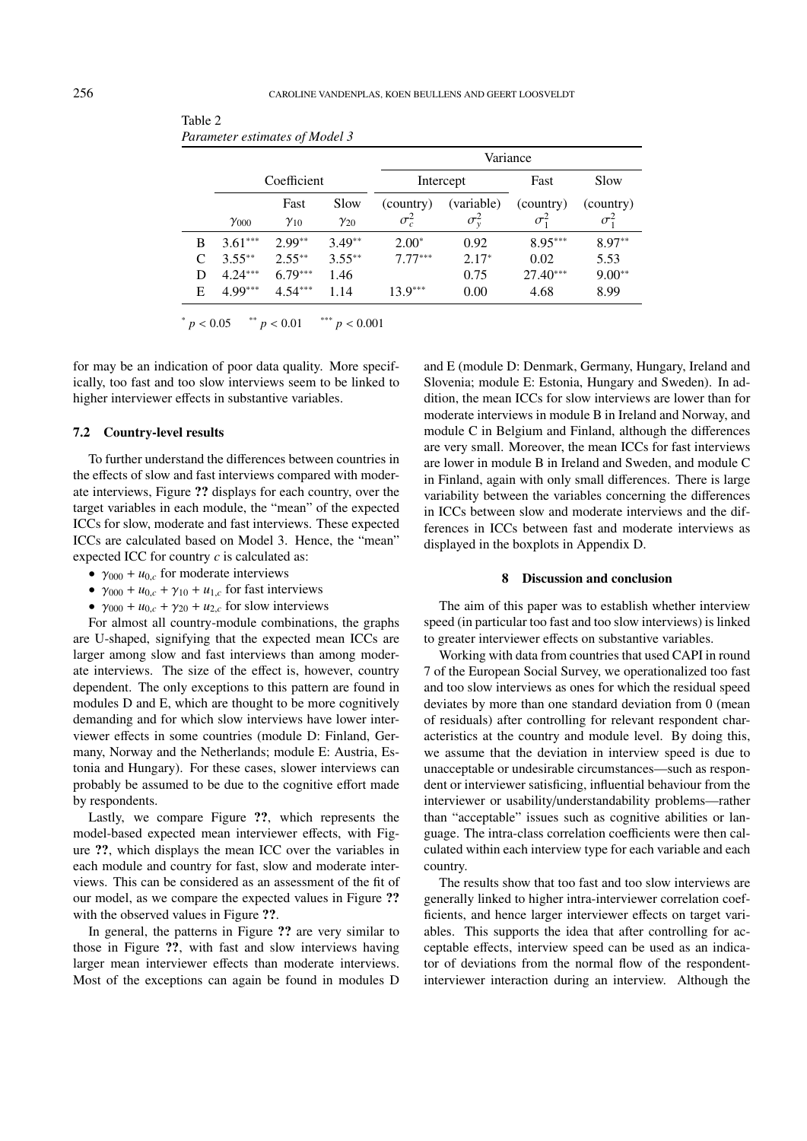|   |                |               |               |              |                  | Variance                               |                                 |
|---|----------------|---------------|---------------|--------------|------------------|----------------------------------------|---------------------------------|
|   |                | Coefficient   |               |              | Intercept        | Fast                                   | Slow                            |
|   |                | Fast          | Slow          | (country)    | (variable)       | (country)                              | (country)                       |
|   | $\gamma_{000}$ | $\gamma_{10}$ | $\gamma_{20}$ | $\sigma_c^2$ | $\sigma_{\rm v}$ | $\sigma^{\scriptscriptstyle \omega}_i$ | $\sigma^{\scriptscriptstyle +}$ |
| B | $3.61***$      | $2.99**$      | $3.49**$      | $2.00*$      | 0.92             | $8.95***$                              | $8.97**$                        |
|   | $3.55***$      | $2.55***$     | $3.55***$     | $7.77***$    | $2.17*$          | 0.02                                   | 5.53                            |
|   | $4.24***$      | $6.79***$     | 1.46          |              | 0.75             | $27.40***$                             | $9.00**$                        |
| Е | $4.99***$      | $4.54***$     | 1.14          | $13.9***$    | 0.00             | 4.68                                   | 8.99                            |

<span id="page-7-0"></span>Table 2 *Parameter estimates of Model 3*

 $p < 0.05$  \*\*  $p < 0.01$  \*\*\*  $p < 0.001$ 

for may be an indication of poor data quality. More specifically, too fast and too slow interviews seem to be linked to higher interviewer effects in substantive variables.

#### 7.2 Country-level results

To further understand the differences between countries in the effects of slow and fast interviews compared with moderate interviews, Figure [??](#page-8-0) displays for each country, over the target variables in each module, the "mean" of the expected ICCs for slow, moderate and fast interviews. These expected ICCs are calculated based on Model 3. Hence, the "mean" expected ICC for country *c* is calculated as:

- $\gamma_{000} + u_{0,c}$  for moderate interviews
- $\gamma_{000} + u_{0,c} + \gamma_{10} + u_{1,c}$  for fast interviews
- $\gamma_{000} + u_{0,c} + \gamma_{20} + u_{2,c}$  for slow interviews

For almost all country-module combinations, the graphs are U-shaped, signifying that the expected mean ICCs are larger among slow and fast interviews than among moderate interviews. The size of the effect is, however, country dependent. The only exceptions to this pattern are found in modules D and E, which are thought to be more cognitively demanding and for which slow interviews have lower interviewer effects in some countries (module D: Finland, Germany, Norway and the Netherlands; module E: Austria, Estonia and Hungary). For these cases, slower interviews can probably be assumed to be due to the cognitive effort made by respondents.

Lastly, we compare Figure [??](#page-8-0), which represents the model-based expected mean interviewer effects, with Figure [??](#page-8-1), which displays the mean ICC over the variables in each module and country for fast, slow and moderate interviews. This can be considered as an assessment of the fit of our model, as we compare the expected values in Figure [??](#page-8-0) with the observed values in Figure [??](#page-8-1).

In general, the patterns in Figure [??](#page-8-0) are very similar to those in Figure [??](#page-8-1), with fast and slow interviews having larger mean interviewer effects than moderate interviews. Most of the exceptions can again be found in modules D

and E (module D: Denmark, Germany, Hungary, Ireland and Slovenia; module E: Estonia, Hungary and Sweden). In addition, the mean ICCs for slow interviews are lower than for moderate interviews in module B in Ireland and Norway, and module C in Belgium and Finland, although the differences are very small. Moreover, the mean ICCs for fast interviews are lower in module B in Ireland and Sweden, and module C in Finland, again with only small differences. There is large variability between the variables concerning the differences in ICCs between slow and moderate interviews and the differences in ICCs between fast and moderate interviews as displayed in the boxplots in Appendix D.

## 8 Discussion and conclusion

The aim of this paper was to establish whether interview speed (in particular too fast and too slow interviews) is linked to greater interviewer effects on substantive variables.

Working with data from countries that used CAPI in round 7 of the European Social Survey, we operationalized too fast and too slow interviews as ones for which the residual speed deviates by more than one standard deviation from 0 (mean of residuals) after controlling for relevant respondent characteristics at the country and module level. By doing this, we assume that the deviation in interview speed is due to unacceptable or undesirable circumstances—such as respondent or interviewer satisficing, influential behaviour from the interviewer or usability/understandability problems—rather than "acceptable" issues such as cognitive abilities or language. The intra-class correlation coefficients were then calculated within each interview type for each variable and each country.

The results show that too fast and too slow interviews are generally linked to higher intra-interviewer correlation coefficients, and hence larger interviewer effects on target variables. This supports the idea that after controlling for acceptable effects, interview speed can be used as an indicator of deviations from the normal flow of the respondentinterviewer interaction during an interview. Although the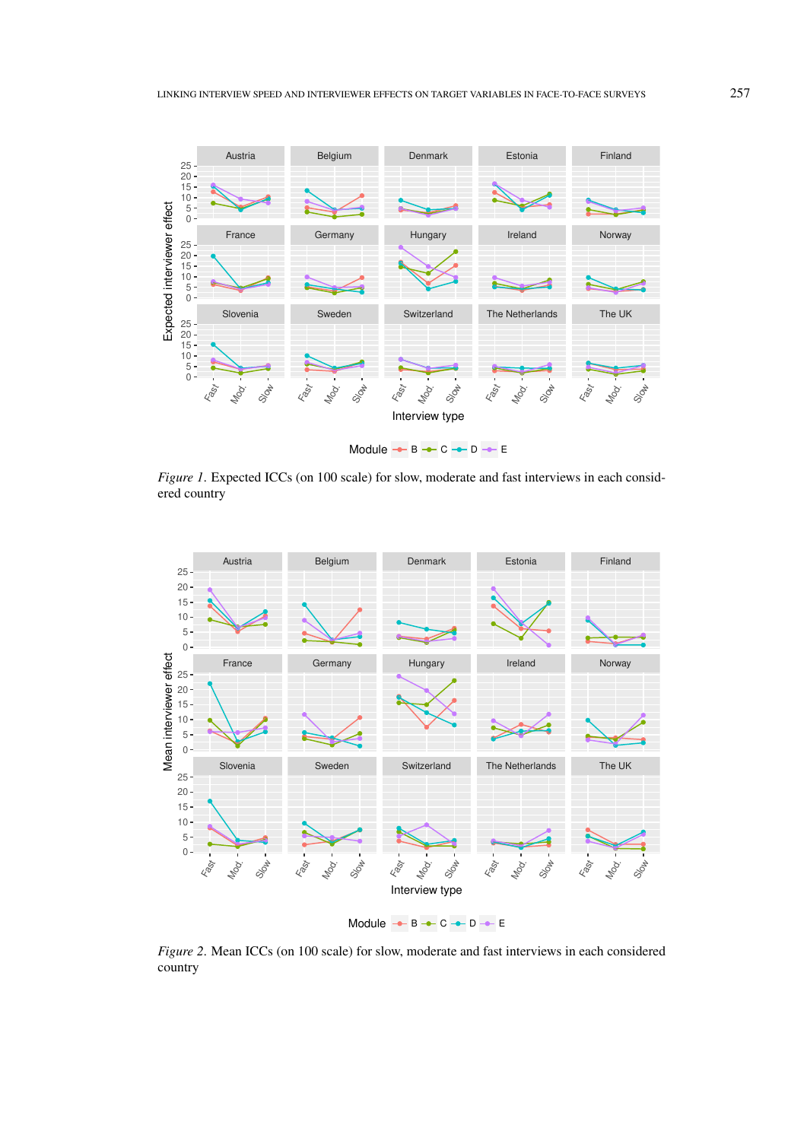<span id="page-8-0"></span>

*Figure 1*. Expected ICCs (on 100 scale) for slow, moderate and fast interviews in each considered country

<span id="page-8-1"></span>

*Figure 2*. Mean ICCs (on 100 scale) for slow, moderate and fast interviews in each considered country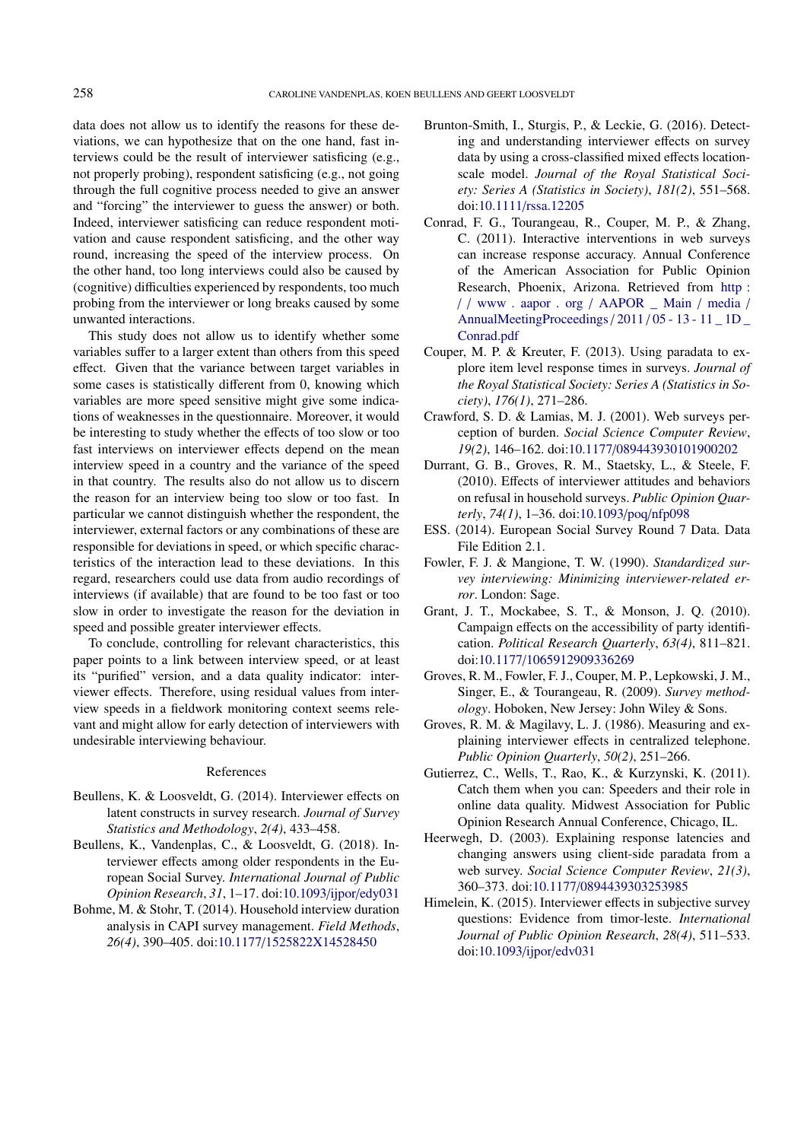data does not allow us to identify the reasons for these deviations, we can hypothesize that on the one hand, fast interviews could be the result of interviewer satisficing (e.g., not properly probing), respondent satisficing (e.g., not going through the full cognitive process needed to give an answer and "forcing" the interviewer to guess the answer) or both. Indeed, interviewer satisficing can reduce respondent motivation and cause respondent satisficing, and the other way round, increasing the speed of the interview process. On the other hand, too long interviews could also be caused by (cognitive) difficulties experienced by respondents, too much probing from the interviewer or long breaks caused by some unwanted interactions.

This study does not allow us to identify whether some variables suffer to a larger extent than others from this speed effect. Given that the variance between target variables in some cases is statistically different from 0, knowing which variables are more speed sensitive might give some indications of weaknesses in the questionnaire. Moreover, it would be interesting to study whether the effects of too slow or too fast interviews on interviewer effects depend on the mean interview speed in a country and the variance of the speed in that country. The results also do not allow us to discern the reason for an interview being too slow or too fast. In particular we cannot distinguish whether the respondent, the interviewer, external factors or any combinations of these are responsible for deviations in speed, or which specific characteristics of the interaction lead to these deviations. In this regard, researchers could use data from audio recordings of interviews (if available) that are found to be too fast or too slow in order to investigate the reason for the deviation in speed and possible greater interviewer effects.

To conclude, controlling for relevant characteristics, this paper points to a link between interview speed, or at least its "purified" version, and a data quality indicator: interviewer effects. Therefore, using residual values from interview speeds in a fieldwork monitoring context seems relevant and might allow for early detection of interviewers with undesirable interviewing behaviour.

## References

- <span id="page-9-3"></span>Beullens, K. & Loosveldt, G. (2014). Interviewer effects on latent constructs in survey research. *Journal of Survey Statistics and Methodology*, *2(4)*, 433–458.
- <span id="page-9-14"></span>Beullens, K., Vandenplas, C., & Loosveldt, G. (2018). Interviewer effects among older respondents in the European Social Survey. *International Journal of Public Opinion Research*, *31*, 1–17. doi[:10.1093](https://dx.doi.org/10.1093/ijpor/edy031)/ijpor/edy031
- <span id="page-9-13"></span>Bohme, M. & Stohr, T. (2014). Household interview duration analysis in CAPI survey management. *Field Methods*, *26(4)*, 390–405. doi:10.1177/[1525822X14528450](https://dx.doi.org/10.1177/1525822X14528450)
- <span id="page-9-15"></span>Brunton-Smith, I., Sturgis, P., & Leckie, G. (2016). Detecting and understanding interviewer effects on survey data by using a cross-classified mixed effects locationscale model. *Journal of the Royal Statistical Society: Series A (Statistics in Society)*, *181(2)*, 551–568. doi:10.1111/[rssa.12205](https://dx.doi.org/10.1111/rssa.12205)
- <span id="page-9-9"></span>Conrad, F. G., Tourangeau, R., Couper, M. P., & Zhang, C. (2011). Interactive interventions in web surveys can increase response accuracy. Annual Conference of the American Association for Public Opinion Research, Phoenix, Arizona. Retrieved from [http :](http://www.aapor.org/AAPOR_Main/media/AnnualMeetingProceedings/2011/05-13-11_1D_Conrad.pdf) / / [www . aapor . org](http://www.aapor.org/AAPOR_Main/media/AnnualMeetingProceedings/2011/05-13-11_1D_Conrad.pdf) / AAPOR \_ Main / media / [AnnualMeetingProceedings](http://www.aapor.org/AAPOR_Main/media/AnnualMeetingProceedings/2011/05-13-11_1D_Conrad.pdf)/ 2011 / 05 - 13 - 11 \_ 1D \_ [Conrad.pdf](http://www.aapor.org/AAPOR_Main/media/AnnualMeetingProceedings/2011/05-13-11_1D_Conrad.pdf)
- <span id="page-9-10"></span>Couper, M. P. & Kreuter, F. (2013). Using paradata to explore item level response times in surveys. *Journal of the Royal Statistical Society: Series A (Statistics in Society)*, *176(1)*, 271–286.
- <span id="page-9-6"></span>Crawford, S. D. & Lamias, M. J. (2001). Web surveys perception of burden. *Social Science Computer Review*, *19(2)*, 146–162. doi:10.1177/[089443930101900202](https://dx.doi.org/10.1177/089443930101900202)
- <span id="page-9-1"></span>Durrant, G. B., Groves, R. M., Staetsky, L., & Steele, F. (2010). Effects of interviewer attitudes and behaviors on refusal in household surveys. *Public Opinion Quarterly*, *74(1)*, 1–36. doi[:10.1093](https://dx.doi.org/10.1093/poq/nfp098)/poq/nfp098
- <span id="page-9-11"></span>ESS. (2014). European Social Survey Round 7 Data. Data File Edition 2.1.
- <span id="page-9-4"></span>Fowler, F. J. & Mangione, T. W. (1990). *Standardized survey interviewing: Minimizing interviewer-related error*. London: Sage.
- <span id="page-9-7"></span>Grant, J. T., Mockabee, S. T., & Monson, J. Q. (2010). Campaign effects on the accessibility of party identification. *Political Research Quarterly*, *63(4)*, 811–821. doi:10.1177/[1065912909336269](https://dx.doi.org/10.1177/1065912909336269)
- <span id="page-9-0"></span>Groves, R. M., Fowler, F. J., Couper, M. P., Lepkowski, J. M., Singer, E., & Tourangeau, R. (2009). *Survey methodology*. Hoboken, New Jersey: John Wiley & Sons.
- <span id="page-9-2"></span>Groves, R. M. & Magilavy, L. J. (1986). Measuring and explaining interviewer effects in centralized telephone. *Public Opinion Quarterly*, *50(2)*, 251–266.
- <span id="page-9-8"></span>Gutierrez, C., Wells, T., Rao, K., & Kurzynski, K. (2011). Catch them when you can: Speeders and their role in online data quality. Midwest Association for Public Opinion Research Annual Conference, Chicago, IL.
- <span id="page-9-5"></span>Heerwegh, D. (2003). Explaining response latencies and changing answers using client-side paradata from a web survey. *Social Science Computer Review*, *21(3)*, 360–373. doi:10.1177/[0894439303253985](https://dx.doi.org/10.1177/0894439303253985)
- <span id="page-9-12"></span>Himelein, K. (2015). Interviewer effects in subjective survey questions: Evidence from timor-leste. *International Journal of Public Opinion Research*, *28(4)*, 511–533. doi[:10.1093](https://dx.doi.org/10.1093/ijpor/edv031)/ijpor/edv031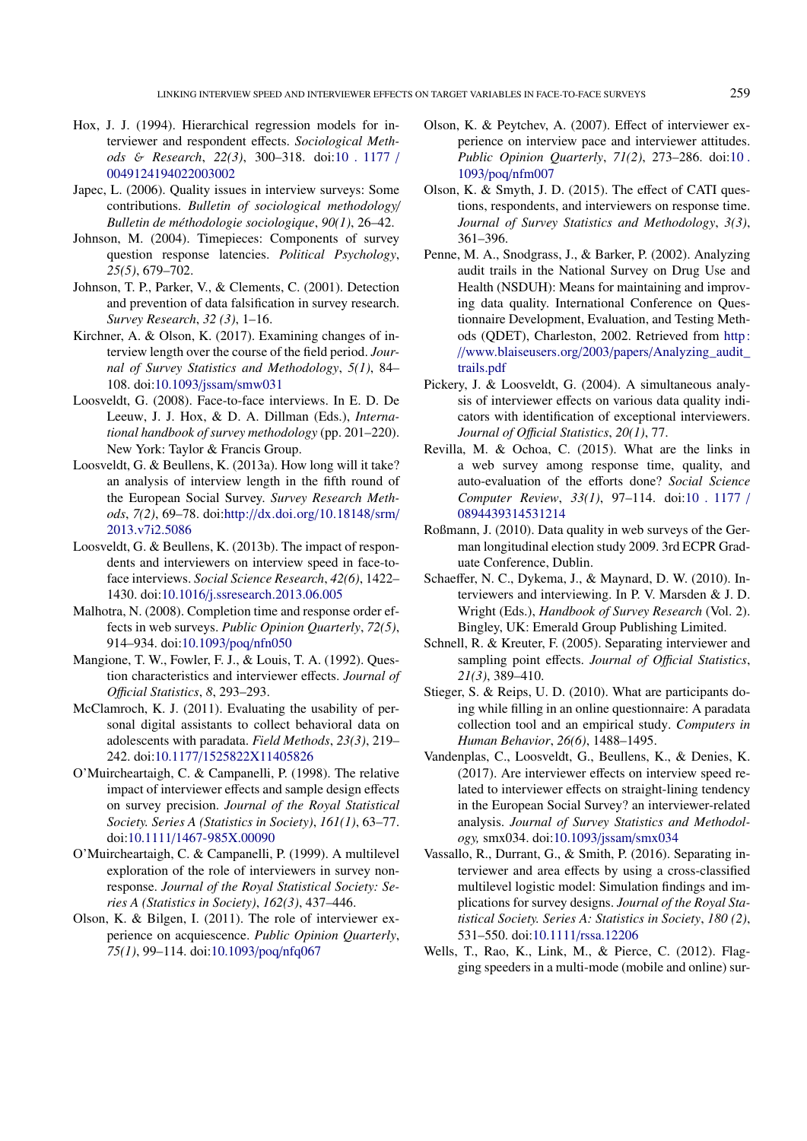- <span id="page-10-19"></span>Hox, J. J. (1994). Hierarchical regression models for interviewer and respondent effects. *Sociological Methods* & *Research*, *22(3)*, 300–318. doi[:10 . 1177](https://dx.doi.org/10.1177/0049124194022003002) / [0049124194022003002](https://dx.doi.org/10.1177/0049124194022003002)
- <span id="page-10-18"></span>Japec, L. (2006). Quality issues in interview surveys: Some contributions. *Bulletin of sociological methodology*/ *Bulletin de méthodologie sociologique*, *90(1)*, 26–42.
- <span id="page-10-3"></span>Johnson, M. (2004). Timepieces: Components of survey question response latencies. *Political Psychology*, *25(5)*, 679–702.
- <span id="page-10-7"></span>Johnson, T. P., Parker, V., & Clements, C. (2001). Detection and prevention of data falsification in survey research. *Survey Research*, *32 (3)*, 1–16.
- <span id="page-10-22"></span>Kirchner, A. & Olson, K. (2017). Examining changes of interview length over the course of the field period. *Journal of Survey Statistics and Methodology*, *5(1)*, 84– 108. doi:10.1093/jssam/[smw031](https://dx.doi.org/10.1093/jssam/smw031)
- <span id="page-10-0"></span>Loosveldt, G. (2008). Face-to-face interviews. In E. D. De Leeuw, J. J. Hox, & D. A. Dillman (Eds.), *International handbook of survey methodology* (pp. 201–220). New York: Taylor & Francis Group.
- <span id="page-10-16"></span>Loosveldt, G. & Beullens, K. (2013a). How long will it take? an analysis of interview length in the fifth round of the European Social Survey. *Survey Research Methods*, *7(2)*, 69–78. doi:http://[dx.doi.org](https://dx.doi.org/http://dx.doi.org/10.18148/srm/2013.v7i2.5086)/10.18148/srm/ [2013.v7i2.5086](https://dx.doi.org/http://dx.doi.org/10.18148/srm/2013.v7i2.5086)
- <span id="page-10-13"></span>Loosveldt, G. & Beullens, K. (2013b). The impact of respondents and interviewers on interview speed in face-toface interviews. *Social Science Research*, *42(6)*, 1422– 1430. doi:10.1016/[j.ssresearch.2013.06.005](https://dx.doi.org/10.1016/j.ssresearch.2013.06.005)
- <span id="page-10-9"></span>Malhotra, N. (2008). Completion time and response order effects in web surveys. *Public Opinion Quarterly*, *72(5)*, 914–934. doi[:10.1093](https://dx.doi.org/10.1093/poq/nfn050)/poq/nfn050
- <span id="page-10-17"></span>Mangione, T. W., Fowler, F. J., & Louis, T. A. (1992). Question characteristics and interviewer effects. *Journal of O*ffi*cial Statistics*, *8*, 293–293.
- <span id="page-10-4"></span>McClamroch, K. J. (2011). Evaluating the usability of personal digital assistants to collect behavioral data on adolescents with paradata. *Field Methods*, *23(3)*, 219– 242. doi:10.1177/[1525822X11405826](https://dx.doi.org/10.1177/1525822X11405826)
- <span id="page-10-25"></span>O'Muircheartaigh, C. & Campanelli, P. (1998). The relative impact of interviewer effects and sample design effects on survey precision. *Journal of the Royal Statistical Society. Series A (Statistics in Society)*, *161(1)*, 63–77. doi:10.1111/[1467-985X.00090](https://dx.doi.org/10.1111/1467-985X.00090)
- <span id="page-10-1"></span>O'Muircheartaigh, C. & Campanelli, P. (1999). A multilevel exploration of the role of interviewers in survey nonresponse. *Journal of the Royal Statistical Society: Series A (Statistics in Society)*, *162(3)*, 437–446.
- <span id="page-10-21"></span>Olson, K. & Bilgen, I. (2011). The role of interviewer experience on acquiescence. *Public Opinion Quarterly*, *75(1)*, 99–114. doi[:10.1093](https://dx.doi.org/10.1093/poq/nfq067)/poq/nfq067
- <span id="page-10-12"></span>Olson, K. & Peytchev, A. (2007). Effect of interviewer experience on interview pace and interviewer attitudes. *Public Opinion Quarterly*, *71(2)*, 273–286. doi[:10 .](https://dx.doi.org/10.1093/poq/nfm007) 1093/poq/[nfm007](https://dx.doi.org/10.1093/poq/nfm007)
- <span id="page-10-15"></span>Olson, K. & Smyth, J. D. (2015). The effect of CATI questions, respondents, and interviewers on response time. *Journal of Survey Statistics and Methodology*, *3(3)*, 361–396.
- <span id="page-10-8"></span>Penne, M. A., Snodgrass, J., & Barker, P. (2002). Analyzing audit trails in the National Survey on Drug Use and Health (NSDUH): Means for maintaining and improving data quality. International Conference on Questionnaire Development, Evaluation, and Testing Methods (QDET), Charleston, 2002. Retrieved from [http:](http://www.blaiseusers.org/2003/papers/Analyzing_audit_trails.pdf) //[www.blaiseusers.org](http://www.blaiseusers.org/2003/papers/Analyzing_audit_trails.pdf)/2003/papers/Analyzing\_audit\_ [trails.pdf](http://www.blaiseusers.org/2003/papers/Analyzing_audit_trails.pdf)
- <span id="page-10-2"></span>Pickery, J. & Loosveldt, G. (2004). A simultaneous analysis of interviewer effects on various data quality indicators with identification of exceptional interviewers. *Journal of O*ffi*cial Statistics*, *20(1)*, 77.
- <span id="page-10-11"></span>Revilla, M. & Ochoa, C. (2015). What are the links in a web survey among response time, quality, and auto-evaluation of the efforts done? *Social Science Computer Review*, *33(1)*, 97–114. doi[:10 . 1177](https://dx.doi.org/10.1177/0894439314531214) / [0894439314531214](https://dx.doi.org/10.1177/0894439314531214)
- <span id="page-10-5"></span>Roßmann, J. (2010). Data quality in web surveys of the German longitudinal election study 2009. 3rd ECPR Graduate Conference, Dublin.
- <span id="page-10-20"></span>Schaeffer, N. C., Dykema, J., & Maynard, D. W. (2010). Interviewers and interviewing. In P. V. Marsden & J. D. Wright (Eds.), *Handbook of Survey Research* (Vol. 2). Bingley, UK: Emerald Group Publishing Limited.
- <span id="page-10-24"></span>Schnell, R. & Kreuter, F. (2005). Separating interviewer and sampling point effects. *Journal of Official Statistics*, *21(3)*, 389–410.
- <span id="page-10-6"></span>Stieger, S. & Reips, U. D. (2010). What are participants doing while filling in an online questionnaire: A paradata collection tool and an empirical study. *Computers in Human Behavior*, *26(6)*, 1488–1495.
- <span id="page-10-14"></span>Vandenplas, C., Loosveldt, G., Beullens, K., & Denies, K. (2017). Are interviewer effects on interview speed related to interviewer effects on straight-lining tendency in the European Social Survey? an interviewer-related analysis. *Journal of Survey Statistics and Methodology,* smx034. doi[:10.1093](https://dx.doi.org/10.1093/jssam/smx034)/jssam/smx034
- <span id="page-10-23"></span>Vassallo, R., Durrant, G., & Smith, P. (2016). Separating interviewer and area effects by using a cross-classified multilevel logistic model: Simulation findings and implications for survey designs. *Journal of the Royal Statistical Society. Series A: Statistics in Society*, *180 (2)*, 531–550. doi:10.1111/[rssa.12206](https://dx.doi.org/10.1111/rssa.12206)
- <span id="page-10-10"></span>Wells, T., Rao, K., Link, M., & Pierce, C. (2012). Flagging speeders in a multi-mode (mobile and online) sur-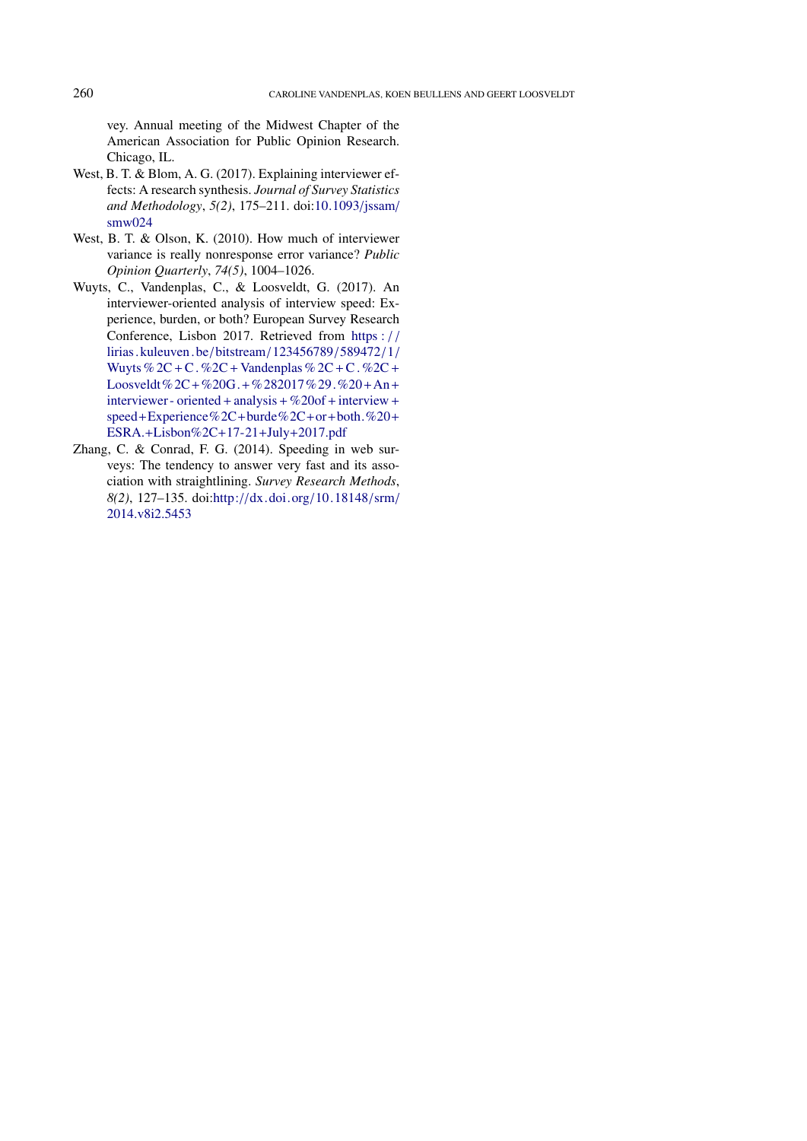vey. Annual meeting of the Midwest Chapter of the American Association for Public Opinion Research. Chicago, IL.

- <span id="page-11-1"></span>West, B. T. & Blom, A. G. (2017). Explaining interviewer effects: A research synthesis. *Journal of Survey Statistics and Methodology*, *5(2)*, 175–211. doi[:10.1093](https://dx.doi.org/10.1093/jssam/smw024)/jssam/ [smw024](https://dx.doi.org/10.1093/jssam/smw024)
- <span id="page-11-0"></span>West, B. T. & Olson, K. (2010). How much of interviewer variance is really nonresponse error variance? *Public Opinion Quarterly*, *74(5)*, 1004–1026.
- <span id="page-11-3"></span>Wuyts, C., Vandenplas, C., & Loosveldt, G. (2017). An interviewer-oriented analysis of interview speed: Experience, burden, or both? European Survey Research Conference, Lisbon 2017. Retrieved from [https :](https://lirias.kuleuven.be/bitstream/123456789/589472/1/Wuyts%2C+C.%2C+Vandenplas%2C+C.%2C+Loosveldt%2C+%20G.+%282017%29.%20+An+interviewer-oriented+analysis+%20of+interview+speed+Experience%2C+burde%2C+or+both.%20+ESRA.+Lisbon%2C+17-21+July+2017.pdf) / / [lirias. kuleuven. be](https://lirias.kuleuven.be/bitstream/123456789/589472/1/Wuyts%2C+C.%2C+Vandenplas%2C+C.%2C+Loosveldt%2C+%20G.+%282017%29.%20+An+interviewer-oriented+analysis+%20of+interview+speed+Experience%2C+burde%2C+or+both.%20+ESRA.+Lisbon%2C+17-21+July+2017.pdf) /bitstream/123456789/589472/1/ Wuyts %  $2C + C$ . %  $2C + V$ andenplas %  $2C + C$ . %  $2C + V$ Loosveldt%2C+%20G.+[%282017%29.%20](https://lirias.kuleuven.be/bitstream/123456789/589472/1/Wuyts%2C+C.%2C+Vandenplas%2C+C.%2C+Loosveldt%2C+%20G.+%282017%29.%20+An+interviewer-oriented+analysis+%20of+interview+speed+Experience%2C+burde%2C+or+both.%20+ESRA.+Lisbon%2C+17-21+July+2017.pdf)+An+ [interviewer - oriented](https://lirias.kuleuven.be/bitstream/123456789/589472/1/Wuyts%2C+C.%2C+Vandenplas%2C+C.%2C+Loosveldt%2C+%20G.+%282017%29.%20+An+interviewer-oriented+analysis+%20of+interview+speed+Experience%2C+burde%2C+or+both.%20+ESRA.+Lisbon%2C+17-21+July+2017.pdf)+analysis+ %20of+interview + speed+[Experience%2C](https://lirias.kuleuven.be/bitstream/123456789/589472/1/Wuyts%2C+C.%2C+Vandenplas%2C+C.%2C+Loosveldt%2C+%20G.+%282017%29.%20+An+interviewer-oriented+analysis+%20of+interview+speed+Experience%2C+burde%2C+or+both.%20+ESRA.+Lisbon%2C+17-21+July+2017.pdf)+burde%2C+or+both.%20+ ESRA.+[Lisbon%2C](https://lirias.kuleuven.be/bitstream/123456789/589472/1/Wuyts%2C+C.%2C+Vandenplas%2C+C.%2C+Loosveldt%2C+%20G.+%282017%29.%20+An+interviewer-oriented+analysis+%20of+interview+speed+Experience%2C+burde%2C+or+both.%20+ESRA.+Lisbon%2C+17-21+July+2017.pdf)+17-21+July+2017.pdf
- <span id="page-11-2"></span>Zhang, C. & Conrad, F. G. (2014). Speeding in web surveys: The tendency to answer very fast and its association with straightlining. *Survey Research Methods*, *8(2)*, 127–135. doi:http://[dx.doi.org](https://dx.doi.org/http://dx.doi.org/10.18148/srm/2014.v8i2.5453)/10.18148/srm/ [2014.v8i2.5453](https://dx.doi.org/http://dx.doi.org/10.18148/srm/2014.v8i2.5453)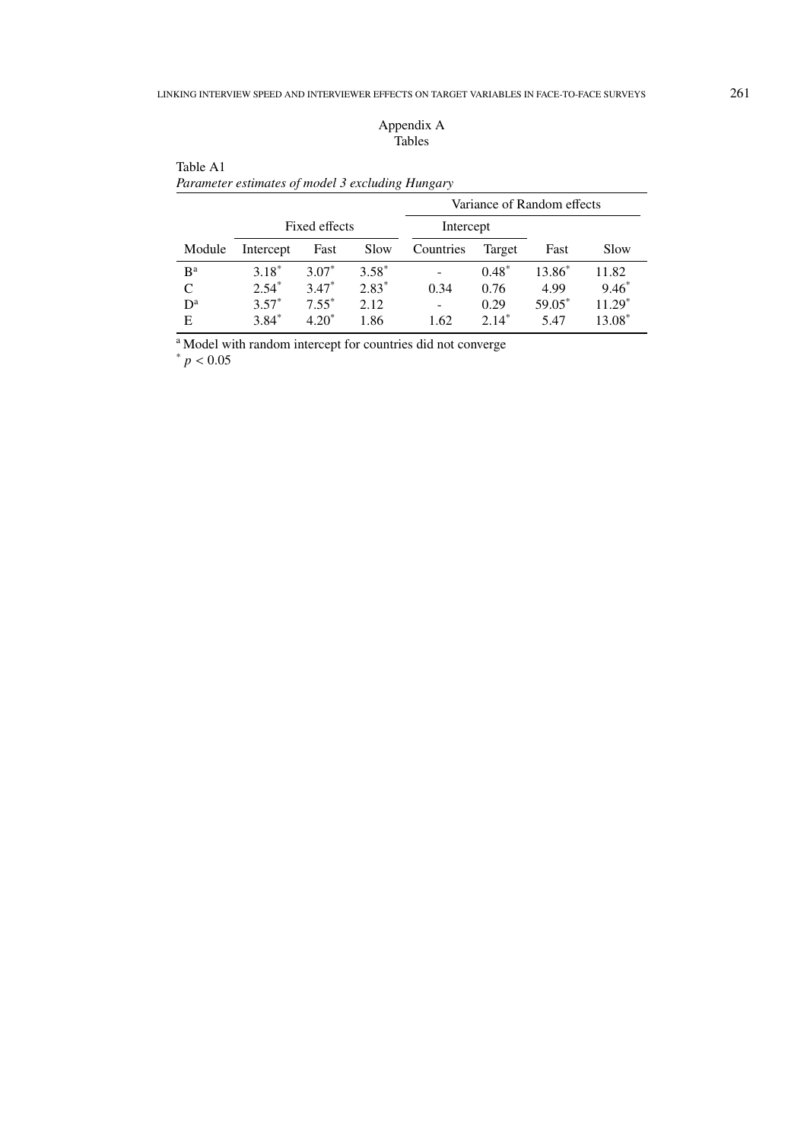## Appendix A Tables

|        |           |               |         |           |         | Variance of Random effects |          |
|--------|-----------|---------------|---------|-----------|---------|----------------------------|----------|
|        |           | Fixed effects |         | Intercept |         |                            |          |
| Module | Intercept | Fast          | Slow    | Countries | Target  | Fast                       | Slow     |
| $B^a$  | $3.18*$   | $3.07*$       | $3.58*$ |           | $0.48*$ | 13.86 <sup>*</sup>         | 11.82    |
| C      | $2.54*$   | $3.47*$       | $2.83*$ | 0.34      | 0.76    | 4.99                       | $9.46*$  |
| $D^a$  | $3.57*$   | $7.55^*$      | 2.12    | ٠         | 0.29    | 59.05*                     | $11.29*$ |
| Е      | $3.84*$   | $420^*$       | 1.86    | 1.62      | $2.14*$ | 5.47                       | 13.08*   |

# Table A1 *Parameter estimates of model 3 excluding Hungary*

<sup>a</sup> Model with random intercept for countries did not converge

 $* p < 0.05$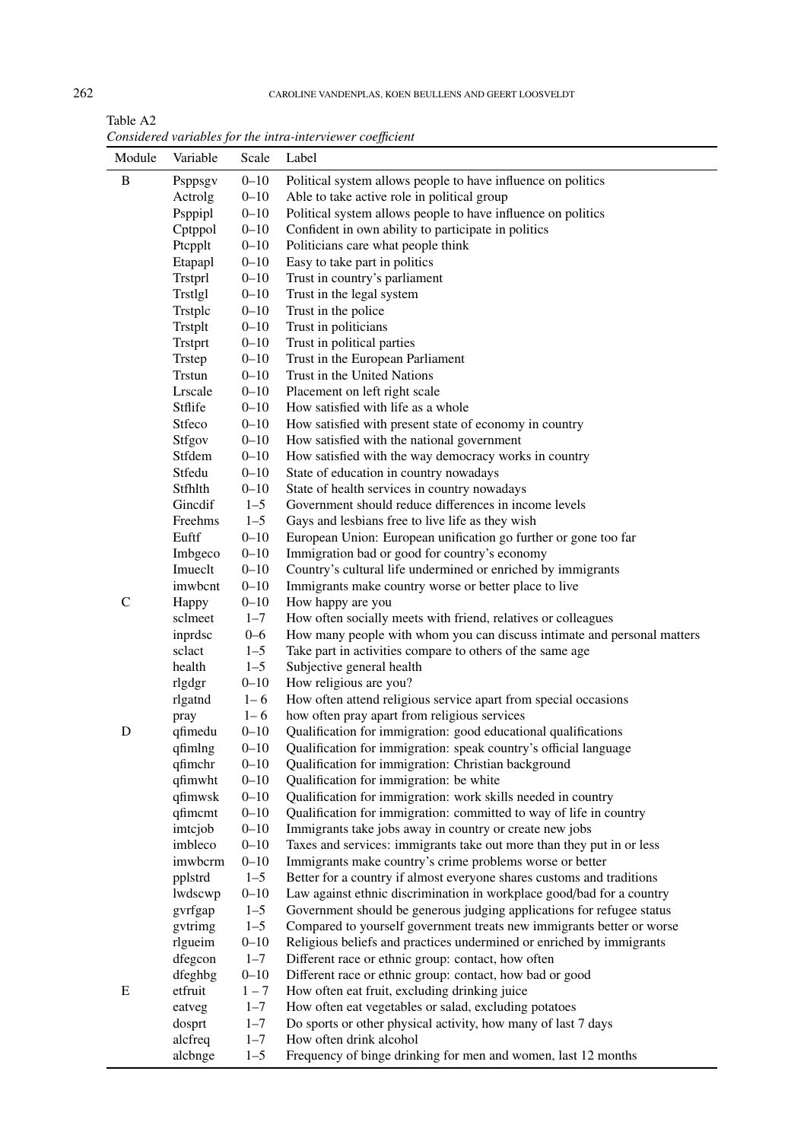## 262 CAROLINE VANDENPLAS, KOEN BEULLENS AND GEERT LOOSVELDT

Table A2 *Considered variables for the intra-interviewer coe*ffi*cient*

| Module        | Variable           | Scale                | Label                                                                                                                              |
|---------------|--------------------|----------------------|------------------------------------------------------------------------------------------------------------------------------------|
| B             | Psppsgv            | $0 - 10$             | Political system allows people to have influence on politics                                                                       |
|               | Actrolg            | $0 - 10$             | Able to take active role in political group                                                                                        |
|               | Psppipl            | $0 - 10$             | Political system allows people to have influence on politics                                                                       |
|               | Cptppol            | $0 - 10$             | Confident in own ability to participate in politics                                                                                |
|               | Ptcpplt            | $0 - 10$             | Politicians care what people think                                                                                                 |
|               | Etapapl            | $0 - 10$             | Easy to take part in politics                                                                                                      |
|               | Trstprl            | $0 - 10$             | Trust in country's parliament                                                                                                      |
|               | Trstlgl            | $0 - 10$             | Trust in the legal system                                                                                                          |
|               | Trstplc            | $0 - 10$             | Trust in the police                                                                                                                |
|               | Trstplt            | $0 - 10$             | Trust in politicians                                                                                                               |
|               | Trstprt            | $0 - 10$             | Trust in political parties                                                                                                         |
|               | Trstep             | $0 - 10$             | Trust in the European Parliament                                                                                                   |
|               | <b>Trstun</b>      | $0 - 10$             | Trust in the United Nations                                                                                                        |
|               | Lrscale            | $0 - 10$             | Placement on left right scale                                                                                                      |
|               | Stflife            | $0 - 10$             | How satisfied with life as a whole                                                                                                 |
|               | Stfeco             | $0 - 10$             | How satisfied with present state of economy in country                                                                             |
|               | Stfgov             | $0 - 10$             | How satisfied with the national government                                                                                         |
|               | Stfdem             | $0 - 10$             | How satisfied with the way democracy works in country                                                                              |
|               | Stfedu             | $0 - 10$             | State of education in country nowadays                                                                                             |
|               | Stfhlth            | $0 - 10$             | State of health services in country nowadays                                                                                       |
|               | Gincdif            | $1 - 5$              | Government should reduce differences in income levels                                                                              |
|               | Freehms            | $1 - 5$              | Gays and lesbians free to live life as they wish                                                                                   |
|               | Euftf              | $0 - 10$             | European Union: European unification go further or gone too far                                                                    |
|               | Imbgeco            | $0 - 10$             | Immigration bad or good for country's economy                                                                                      |
|               | Imueclt            | $0 - 10$             | Country's cultural life undermined or enriched by immigrants                                                                       |
|               | imwbcnt            | $0 - 10$             | Immigrants make country worse or better place to live                                                                              |
| $\mathcal{C}$ | Happy              | $0 - 10$             | How happy are you                                                                                                                  |
|               | sclmeet            | $1 - 7$              | How often socially meets with friend, relatives or colleagues                                                                      |
|               | inprdsc            | $0 - 6$              | How many people with whom you can discuss intimate and personal matters                                                            |
|               | sclact             | $1 - 5$              | Take part in activities compare to others of the same age                                                                          |
|               | health             | $1 - 5$              | Subjective general health                                                                                                          |
|               | rlgdgr             | $0 - 10$             | How religious are you?                                                                                                             |
|               | rlgatnd            | $1 - 6$              | How often attend religious service apart from special occasions                                                                    |
|               | pray               | $1 - 6$              | how often pray apart from religious services                                                                                       |
| D             | qfimedu            | $0 - 10$             | Qualification for immigration: good educational qualifications                                                                     |
|               | qfimlng            | $0 - 10$             | Qualification for immigration: speak country's official language                                                                   |
|               | qfimchr            | $0 - 10$             | Qualification for immigration: Christian background                                                                                |
|               | qfimwht            | $0 - 10$<br>$0 - 10$ | Qualification for immigration: be white                                                                                            |
|               | qfimwsk<br>qfimcmt | $0 - 10$             | Qualification for immigration: work skills needed in country<br>Qualification for immigration: committed to way of life in country |
|               | imtcjob            | $0 - 10$             | Immigrants take jobs away in country or create new jobs                                                                            |
|               | imbleco            | $0 - 10$             | Taxes and services: immigrants take out more than they put in or less                                                              |
|               | imwbcrm            | $0 - 10$             | Immigrants make country's crime problems worse or better                                                                           |
|               | pplstrd            | $1 - 5$              | Better for a country if almost everyone shares customs and traditions                                                              |
|               | lwdscwp            | $0 - 10$             | Law against ethnic discrimination in workplace good/bad for a country                                                              |
|               | gvrfgap            | $1 - 5$              | Government should be generous judging applications for refugee status                                                              |
|               | gytrimg            | $1 - 5$              | Compared to yourself government treats new immigrants better or worse                                                              |
|               | rlgueim            | $0 - 10$             | Religious beliefs and practices undermined or enriched by immigrants                                                               |
|               | dfegcon            | $1 - 7$              | Different race or ethnic group: contact, how often                                                                                 |
|               | dfeghbg            | $0 - 10$             | Different race or ethnic group: contact, how bad or good                                                                           |
| Ε             | etfruit            | $1 - 7$              | How often eat fruit, excluding drinking juice                                                                                      |
|               | eatveg             | $1 - 7$              | How often eat vegetables or salad, excluding potatoes                                                                              |
|               | dosprt             | $1 - 7$              | Do sports or other physical activity, how many of last 7 days                                                                      |
|               | alcfreq            | $1 - 7$              | How often drink alcohol                                                                                                            |
|               | alcbnge            | $1 - 5$              | Frequency of binge drinking for men and women, last 12 months                                                                      |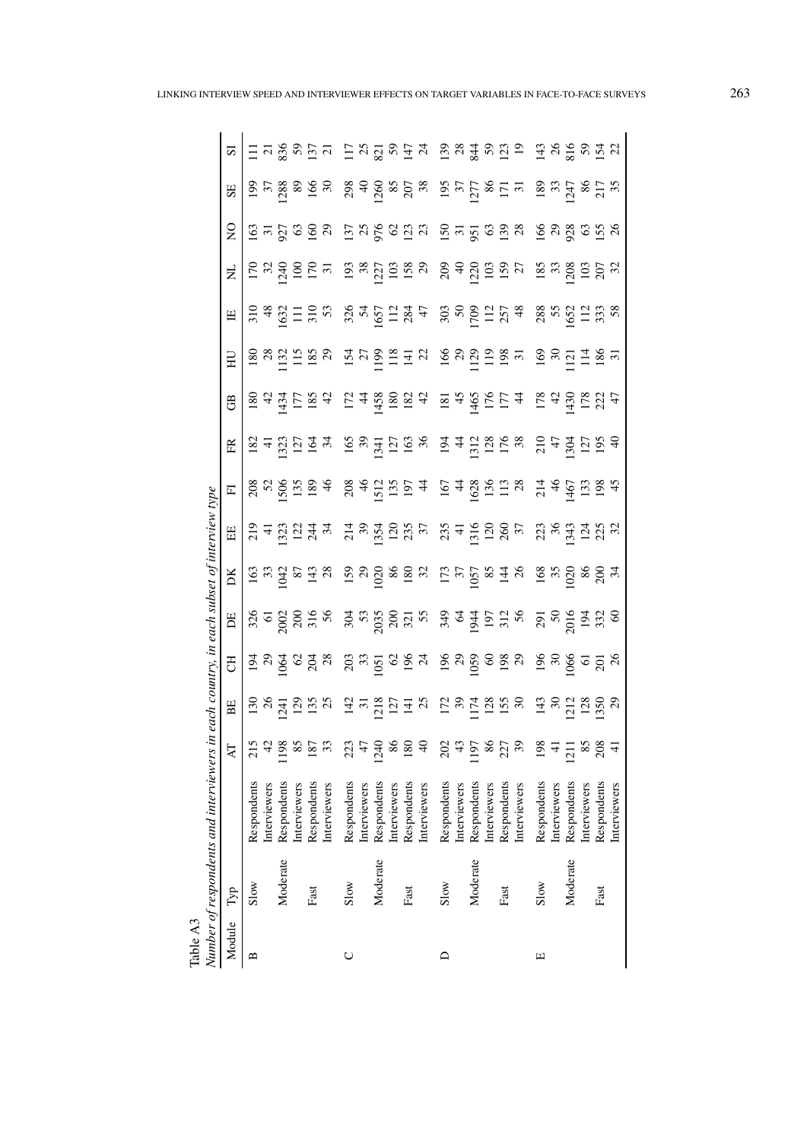| Table A3 |          | Number of respondents and interviewers in |                 | each country, in each subset of interview type                  |                  |                                                                 |                                                                                                   |                                                                                                                               |                                     |                                                                                                                      |                                                          |                                                                                                     |                                         |                                    |                                                                                     |                                                                                                   |                                                                                                                                                                         |
|----------|----------|-------------------------------------------|-----------------|-----------------------------------------------------------------|------------------|-----------------------------------------------------------------|---------------------------------------------------------------------------------------------------|-------------------------------------------------------------------------------------------------------------------------------|-------------------------------------|----------------------------------------------------------------------------------------------------------------------|----------------------------------------------------------|-----------------------------------------------------------------------------------------------------|-----------------------------------------|------------------------------------|-------------------------------------------------------------------------------------|---------------------------------------------------------------------------------------------------|-------------------------------------------------------------------------------------------------------------------------------------------------------------------------|
| Module   | Tур      |                                           | Æ               | BE                                                              | F                | E                                                               | DK                                                                                                | H                                                                                                                             | $\overline{\mathbb{F}}$             | EŘ                                                                                                                   | GB                                                       | $\Xi$                                                                                               | 円                                       | Ż                                  | $\frac{0}{2}$                                                                       | SE                                                                                                | $\overline{\mathbf{S}}$                                                                                                                                                 |
| ⋍        | Slow     | Respondents                               | 215             |                                                                 |                  |                                                                 |                                                                                                   |                                                                                                                               |                                     |                                                                                                                      |                                                          |                                                                                                     |                                         |                                    |                                                                                     |                                                                                                   |                                                                                                                                                                         |
|          |          | Interviewers                              |                 |                                                                 |                  |                                                                 |                                                                                                   |                                                                                                                               |                                     |                                                                                                                      |                                                          |                                                                                                     |                                         |                                    |                                                                                     |                                                                                                   |                                                                                                                                                                         |
|          | Moderate | Respondents                               | 198             | $\frac{58}{24}$                                                 | चे ५ वे          | 3202205                                                         | $\frac{3}{2}$ $\frac{3}{2}$ $\frac{3}{2}$ $\frac{3}{2}$ $\frac{3}{2}$ $\frac{3}{2}$ $\frac{3}{2}$ | $\frac{5}{11}$ $\frac{1}{11}$ $\frac{1}{11}$ $\frac{1}{11}$ $\frac{1}{11}$ $\frac{1}{11}$                                     | 88959                               | $\frac{5}{2}$ $\frac{1}{2}$ $\frac{1}{2}$ $\frac{1}{2}$ $\frac{1}{2}$ $\frac{1}{2}$ $\frac{1}{2}$                    | $\frac{180}{434}$                                        | $\frac{8}{2}$ $\frac{8}{1}$ $\frac{15}{1}$ $\frac{15}{2}$ $\frac{8}{2}$ $\frac{8}{2}$               | $3.483$<br>$1.583$<br>$1.583$<br>$1.58$ | 17<br>28<br>17<br>28               | <u>ន</u> ្ទ ដ ន្ទ ន្ទ ន                                                             | $\frac{385}{28}$                                                                                  | $\frac{21}{836}$                                                                                                                                                        |
|          |          | Interviewers                              | 85              |                                                                 |                  |                                                                 |                                                                                                   |                                                                                                                               |                                     |                                                                                                                      | 1584                                                     |                                                                                                     |                                         |                                    |                                                                                     | 89                                                                                                | $\begin{array}{c} 59 \\ 137 \\ 21 \end{array}$                                                                                                                          |
|          | Fast     | Respondents                               | 187             | $\begin{array}{c}\n 25 \\  \hline\n 135\n \end{array}$          | <u>ଓ 3</u> ଅ     |                                                                 |                                                                                                   |                                                                                                                               |                                     |                                                                                                                      |                                                          |                                                                                                     |                                         | 557                                |                                                                                     | $\frac{166}{30}$                                                                                  |                                                                                                                                                                         |
|          |          | Interviewers                              |                 |                                                                 |                  |                                                                 |                                                                                                   |                                                                                                                               | $\frac{4}{6}$                       |                                                                                                                      |                                                          |                                                                                                     |                                         |                                    |                                                                                     |                                                                                                   |                                                                                                                                                                         |
| O        | Slow     | Respondents                               | 223             |                                                                 |                  |                                                                 |                                                                                                   |                                                                                                                               |                                     |                                                                                                                      |                                                          |                                                                                                     |                                         |                                    |                                                                                     | 298                                                                                               |                                                                                                                                                                         |
|          |          | Interviewers                              |                 |                                                                 |                  |                                                                 |                                                                                                   |                                                                                                                               |                                     |                                                                                                                      |                                                          |                                                                                                     |                                         |                                    |                                                                                     |                                                                                                   |                                                                                                                                                                         |
|          | Moderate | Respondents                               | $\frac{1}{240}$ |                                                                 | $28.58$ $28.84$  | $\frac{36}{20}$ $\frac{26}{20}$ $\frac{27}{20}$ $\frac{27}{20}$ | 5288832                                                                                           |                                                                                                                               | 2842157                             |                                                                                                                      | $\frac{174800000}{4800000000}$                           | 15799772                                                                                            |                                         | 9.821988                           | $\frac{5}{2}$ $\frac{8}{5}$ $\frac{6}{5}$ $\frac{3}{2}$ $\frac{3}{2}$ $\frac{3}{4}$ | 408828                                                                                            | $\Xi$ $\stackrel{.}{\sim}$ $\stackrel{.}{\approx}$ $\stackrel{.}{\sim}$ $\stackrel{.}{\approx}$ $\stackrel{.}{\approx}$ $\stackrel{.}{\approx}$ $\stackrel{.}{\approx}$ |
|          |          | Interviewers                              | 86              |                                                                 |                  |                                                                 |                                                                                                   |                                                                                                                               |                                     |                                                                                                                      |                                                          |                                                                                                     |                                         |                                    |                                                                                     |                                                                                                   |                                                                                                                                                                         |
|          | Fast     | Respondents                               | 180             |                                                                 |                  |                                                                 |                                                                                                   |                                                                                                                               |                                     |                                                                                                                      |                                                          |                                                                                                     |                                         |                                    |                                                                                     |                                                                                                   |                                                                                                                                                                         |
|          |          | Interviewers                              | ę               | $\frac{47}{13}$ $\frac{18}{12}$ $\frac{17}{14}$ $\frac{17}{12}$ |                  |                                                                 |                                                                                                   | $\frac{1}{2}$ $\frac{1}{2}$ $\frac{1}{2}$ $\frac{1}{2}$ $\frac{1}{2}$ $\frac{1}{2}$ $\frac{1}{2}$ $\frac{1}{2}$ $\frac{1}{2}$ |                                     | $\frac{16}{3}$<br>$\frac{3}{4}$<br>$\frac{1}{2}$<br>$\frac{1}{2}$<br>$\frac{1}{3}$<br>$\frac{1}{6}$<br>$\frac{1}{3}$ |                                                          |                                                                                                     | $3247$<br>$1651$<br>$284$<br>$47$       |                                    |                                                                                     |                                                                                                   |                                                                                                                                                                         |
| $\Box$   | Slow     | Respondents                               | 202             |                                                                 |                  |                                                                 |                                                                                                   |                                                                                                                               |                                     |                                                                                                                      |                                                          |                                                                                                     |                                         |                                    |                                                                                     |                                                                                                   |                                                                                                                                                                         |
|          |          | Interviewers                              |                 |                                                                 |                  |                                                                 |                                                                                                   |                                                                                                                               |                                     |                                                                                                                      |                                                          |                                                                                                     |                                         |                                    |                                                                                     |                                                                                                   |                                                                                                                                                                         |
|          | Moderate | Respondents                               | 197             |                                                                 |                  | 3345228                                                         | $\frac{1355}{2848}$                                                                               | $^{25}_{41}$ 51285                                                                                                            | $16748$<br>$1673$<br>$158$<br>$138$ |                                                                                                                      | $\frac{145}{455}$                                        | $\begin{array}{c} 168 \\ 209 \\ 111 \\ 198 \\ 198 \\ \end{array}$                                   | 30302178                                | $29420$<br>$1295$<br>$159$<br>$77$ | <u>ទី ម ៥ ដូ</u> ន មូ                                                               | $\frac{37}{27}$<br>$\frac{27}{28}$<br>$\frac{1}{27}$<br>$\frac{37}{27}$                           | 284202                                                                                                                                                                  |
|          |          | Interviewers                              | 86              |                                                                 |                  |                                                                 |                                                                                                   |                                                                                                                               |                                     |                                                                                                                      |                                                          |                                                                                                     |                                         |                                    |                                                                                     |                                                                                                   |                                                                                                                                                                         |
|          | Fast     | Respondents                               | 227             |                                                                 |                  |                                                                 |                                                                                                   |                                                                                                                               |                                     |                                                                                                                      |                                                          |                                                                                                     |                                         |                                    |                                                                                     |                                                                                                   |                                                                                                                                                                         |
|          |          | Interviewers                              |                 |                                                                 |                  |                                                                 |                                                                                                   |                                                                                                                               |                                     | $\frac{343}{1312}$ $\frac{1}{6}$ $\frac{8}{6}$                                                                       |                                                          |                                                                                                     |                                         |                                    |                                                                                     |                                                                                                   |                                                                                                                                                                         |
| щ        | Slow     | Respondents                               | $\frac{198}{2}$ |                                                                 |                  |                                                                 |                                                                                                   |                                                                                                                               |                                     |                                                                                                                      | 178                                                      |                                                                                                     |                                         |                                    |                                                                                     |                                                                                                   | 143                                                                                                                                                                     |
|          |          | Interviewers                              |                 | $\frac{43}{22}$ $\frac{81}{22}$ $\frac{8}{25}$                  | $\frac{86}{36}$  |                                                                 |                                                                                                   |                                                                                                                               |                                     |                                                                                                                      |                                                          |                                                                                                     |                                         | $\frac{185}{205}$                  |                                                                                     |                                                                                                   | $rac{26}{816}$                                                                                                                                                          |
|          | Moderate | Respondents                               |                 |                                                                 |                  |                                                                 |                                                                                                   |                                                                                                                               |                                     |                                                                                                                      |                                                          |                                                                                                     |                                         |                                    |                                                                                     |                                                                                                   |                                                                                                                                                                         |
|          |          | Interviewers                              | 85              |                                                                 | $\overline{6}$   |                                                                 |                                                                                                   |                                                                                                                               |                                     |                                                                                                                      |                                                          |                                                                                                     |                                         |                                    |                                                                                     |                                                                                                   |                                                                                                                                                                         |
|          | Fast     | Respondents                               | 208             |                                                                 | $\frac{201}{26}$ | $25800$<br>$25300$<br>$3530$                                    | $\frac{8}{3}$ $\frac{8}{3}$ $\frac{8}{3}$ $\frac{8}{3}$ $\frac{8}{3}$                             | 389.38                                                                                                                        | $71467$<br>$1467$<br>$1384$         | 27329                                                                                                                | $4\frac{3}{4}$ $\frac{8}{1}$ $\frac{8}{1}$ $\frac{1}{4}$ | $\frac{6}{2}$ $\frac{8}{1}$ $\frac{11}{1}$ $\frac{8}{1}$ $\frac{8}{1}$ $\frac{8}{1}$ $\frac{11}{1}$ | 88521238                                | $\frac{5}{2}$ $\frac{2}{2}$        | $\S$ ឧ ឧ ឌ ឌ ឌ ឧ                                                                    | $\frac{8}{3}$ $\frac{8}{1}$ $\frac{8}{1}$ $\frac{8}{1}$ $\frac{1}{2}$ $\frac{8}{1}$ $\frac{5}{1}$ |                                                                                                                                                                         |
|          |          | Interviewers                              | $\Delta$        | $\overline{c}$                                                  |                  |                                                                 |                                                                                                   |                                                                                                                               |                                     |                                                                                                                      |                                                          |                                                                                                     |                                         |                                    |                                                                                     |                                                                                                   |                                                                                                                                                                         |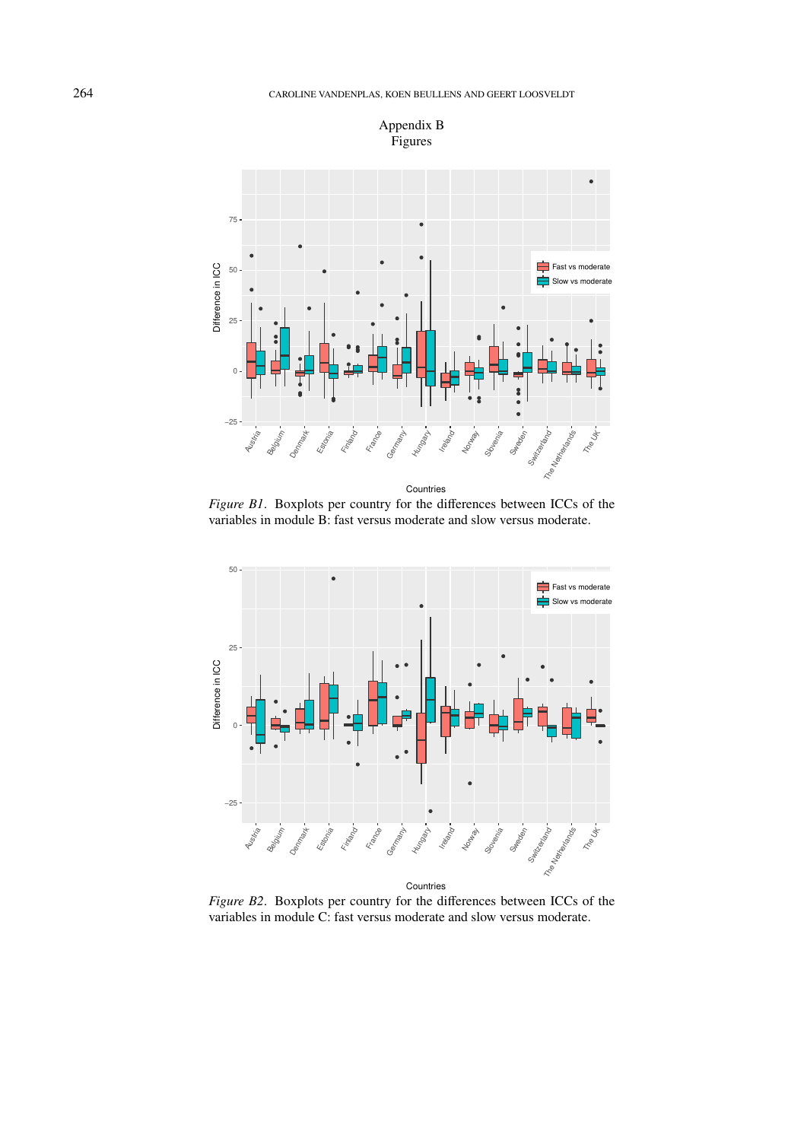

*Figure B1*. Boxplots per country for the differences between ICCs of the variables in module B: fast versus moderate and slow versus moderate.



*Figure B2*. Boxplots per country for the differences between ICCs of the variables in module C: fast versus moderate and slow versus moderate.